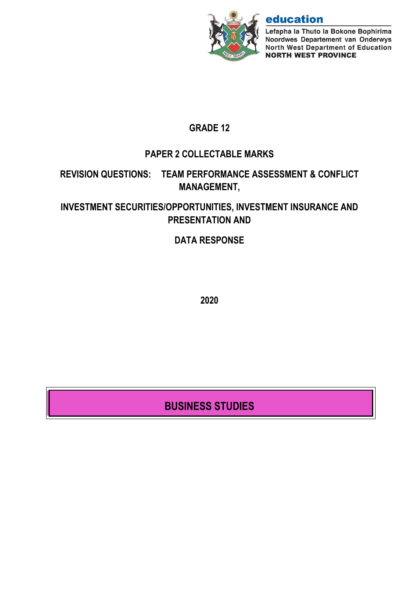

# education

Lefapha la Thuto la Bokone Bophirima Noordwes Departement van Onderwys North West Department of Education **NORTH WEST PROVINCE** 

# **GRADE 12**

# **PAPER 2 COLLECTABLE MARKS**

# **REVISION QUESTIONS: TEAM PERFORMANCE ASSESSMENT & CONFLICT MANAGEMENT,**

# **INVESTMENT SECURITIES/OPPORTUNITIES, INVESTMENT INSURANCE AND PRESENTATION AND**

# **DATA RESPONSE**

**2020**

# **BUSINESS STUDIES**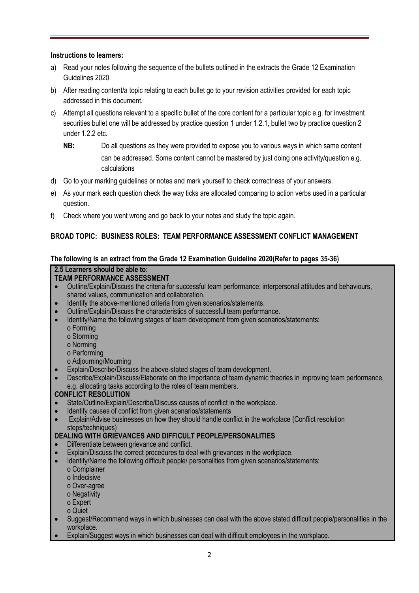#### **Instructions to learners:**

- a) Read your notes following the sequence of the bullets outlined in the extracts the Grade 12 Examination Guidelines 2020
- b) After reading content/a topic relating to each bullet go to your revision activities provided for each topic addressed in this document.
- c) Attempt all questions relevant to a specific bullet of the core content for a particular topic e.g. for investment securities bullet one will be addressed by practice question 1 under 1.2.1, bullet two by practice question 2 under 1.2.2 etc.
	- **NB:** Do all questions as they were provided to expose you to various ways in which same content can be addressed. Some content cannot be mastered by just doing one activity/question e.g. calculations
- d) Go to your marking guidelines or notes and mark yourself to check correctness of your answers.
- e) As your mark each question check the way ticks are allocated comparing to action verbs used in a particular question.
- f) Check where you went wrong and go back to your notes and study the topic again.

#### **BROAD TOPIC: BUSINESS ROLES: TEAM PERFORMANCE ASSESSMENT CONFLICT MANAGEMENT**

#### **The following is an extract from the Grade 12 Examination Guideline 2020(Refer to pages 35-36)**

### **2.5 Learners should be able to:**

- **TEAM PERFORMANCE ASSESSMENT**
- Outline/Explain/Discuss the criteria for successful team performance: interpersonal attitudes and behaviours, shared values, communication and collaboration.
- Identify the above-mentioned criteria from given scenarios/statements.
- Outline/Explain/Discuss the characteristics of successful team performance.
- Identify/Name the following stages of team development from given scenarios/statements:
	- o Forming
	- o Storming
	- o Norming
	- o Performing
	- o Adjourning/Mourning
- Explain/Describe/Discuss the above-stated stages of team development.
- Describe/Explain/Discuss/Elaborate on the importance of team dynamic theories in improving team performance, e.g. allocating tasks according to the roles of team members.

#### **CONFLICT RESOLUTION**

- State/Outline/Explain/Describe/Discuss causes of conflict in the workplace.
- Identify causes of conflict from given scenarios/statements
- Explain/Advise businesses on how they should handle conflict in the workplace (Conflict resolution steps/techniques)

#### **DEALING WITH GRIEVANCES AND DIFFICULT PEOPLE/PERSONALITIES**

- Differentiate between grievance and conflict.
- Explain/Discuss the correct procedures to deal with grievances in the workplace.
- Identify/Name the following difficult people/ personalities from given scenarios/statements:
	- o Complainer
	- o Indecisive
	- o Over-agree
	- o Negativity
	- o Expert
	- o Quiet
- Suggest/Recommend ways in which businesses can deal with the above stated difficult people/personalities in the workplace.
- Explain/Suggest ways in which businesses can deal with difficult employees in the workplace.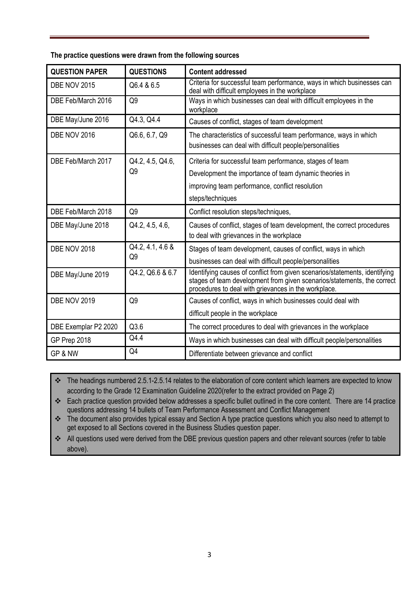**The practice questions were drawn from the following sources**

| <b>QUESTION PAPER</b> | <b>QUESTIONS</b>       | <b>Content addressed</b>                                                                                                                                                                                       |
|-----------------------|------------------------|----------------------------------------------------------------------------------------------------------------------------------------------------------------------------------------------------------------|
| <b>DBE NOV 2015</b>   | Q6.4 & 6.5             | Criteria for successful team performance, ways in which businesses can<br>deal with difficult employees in the workplace                                                                                       |
| DBE Feb/March 2016    | Q <sub>9</sub>         | Ways in which businesses can deal with difficult employees in the<br>workplace                                                                                                                                 |
| DBE May/June 2016     | Q4.3, Q4.4             | Causes of conflict, stages of team development                                                                                                                                                                 |
| <b>DBE NOV 2016</b>   | Q6.6, 6.7, Q9          | The characteristics of successful team performance, ways in which<br>businesses can deal with difficult people/personalities                                                                                   |
| DBE Feb/March 2017    | Q4.2, 4.5, Q4.6,<br>Q9 | Criteria for successful team performance, stages of team<br>Development the importance of team dynamic theories in<br>improving team performance, conflict resolution<br>steps/techniques                      |
| DBE Feb/March 2018    | Q9                     | Conflict resolution steps/techniques,                                                                                                                                                                          |
| DBE May/June 2018     | Q4.2, 4.5, 4.6,        | Causes of conflict, stages of team development, the correct procedures<br>to deal with grievances in the workplace                                                                                             |
| DBE NOV 2018          | Q4.2, 4.1, 4.6 &<br>Q9 | Stages of team development, causes of conflict, ways in which<br>businesses can deal with difficult people/personalities                                                                                       |
| DBE May/June 2019     | Q4.2, Q6.6 & 6.7       | Identifying causes of conflict from given scenarios/statements, identifying<br>stages of team development from given scenarios/statements, the correct<br>procedures to deal with grievances in the workplace. |
| <b>DBE NOV 2019</b>   | Q9                     | Causes of conflict, ways in which businesses could deal with                                                                                                                                                   |
|                       |                        | difficult people in the workplace                                                                                                                                                                              |
| DBE Exemplar P2 2020  | Q3.6                   | The correct procedures to deal with grievances in the workplace                                                                                                                                                |
| GP Prep 2018          | Q4.4                   | Ways in which businesses can deal with difficult people/personalities                                                                                                                                          |
| GP & NW               | Q4                     | Differentiate between grievance and conflict                                                                                                                                                                   |

\* The headings numbered 2.5.1-2.5.14 relates to the elaboration of core content which learners are expected to know according to the Grade 12 Examination Guideline 2020(refer to the extract provided on Page 2)

\* Each practice question provided below addresses a specific bullet outlined in the core content. There are 14 practice questions addressing 14 bullets of Team Performance Assessment and Conflict Management

\* The document also provides typical essay and Section A type practice questions which you also need to attempt to get exposed to all Sections covered in the Business Studies question paper.

All questions used were derived from the DBE previous question papers and other relevant sources (refer to table above).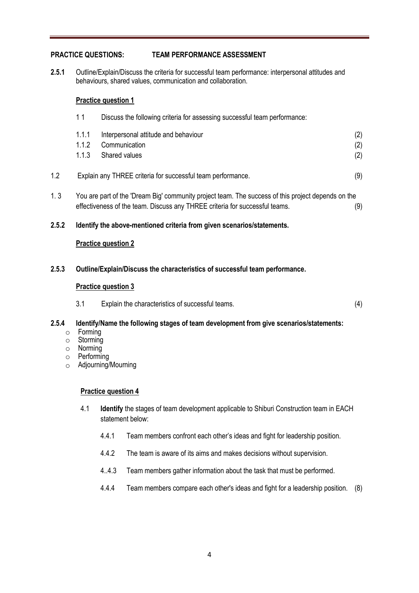#### **PRACTICE QUESTIONS: TEAM PERFORMANCE ASSESSMENT**

**2.5.1** Outline/Explain/Discuss the criteria for successful team performance: interpersonal attitudes and behaviours, shared values, communication and collaboration.

#### **Practice question 1**

|       | 11                                                                                                                                                                                | Discuss the following criteria for assessing successful team performance:   |                   |
|-------|-----------------------------------------------------------------------------------------------------------------------------------------------------------------------------------|-----------------------------------------------------------------------------|-------------------|
|       | 1.1.1<br>1.1.2<br>1.1.3                                                                                                                                                           | Interpersonal attitude and behaviour<br>Communication<br>Shared values      | (2)<br>(2)<br>(2) |
| 1.2   |                                                                                                                                                                                   | Explain any THREE criteria for successful team performance.                 | (9)               |
| 1.3   | You are part of the 'Dream Big' community project team. The success of this project depends on the<br>effectiveness of the team. Discuss any THREE criteria for successful teams. |                                                                             | (9)               |
| 2.5.2 | Identify the above-mentioned criteria from given scenarios/statements.                                                                                                            |                                                                             |                   |
|       |                                                                                                                                                                                   | <b>Practice question 2</b>                                                  |                   |
| 2.5.3 |                                                                                                                                                                                   | Outline/Explain/Discuss the characteristics of successful team performance. |                   |

#### **Practice question 3**

3.1 Explain the characteristics of successful teams. (4)

#### **2.5.4 Identify/Name the following stages of team development from give scenarios/statements:**

- o Forming
- o Storming
- o Norming
- o Performing
- o Adjourning/Mourning

#### **Practice question 4**

- 4.1 **Identify** the stages of team development applicable to Shiburi Construction team in EACH statement below:
	- 4.4.1 Team members confront each other's ideas and fight for leadership position.
	- 4.4.2 The team is aware of its aims and makes decisions without supervision.
	- 4..4.3 Team members gather information about the task that must be performed.
	- 4.4.4 Team members compare each other's ideas and fight for a leadership position. (8)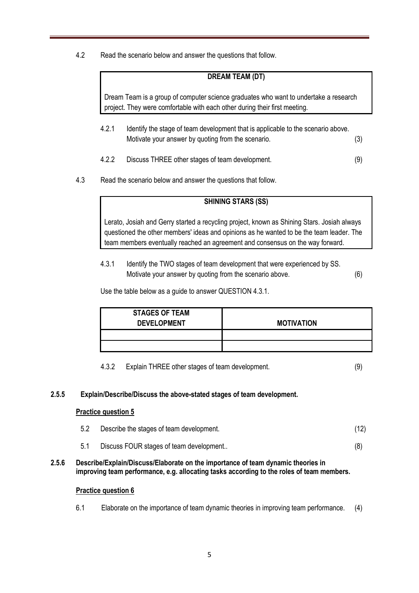4.2 Read the scenario below and answer the questions that follow.

#### **DREAM TEAM (DT)**

Dream Team is a group of computer science graduates who want to undertake a research project. They were comfortable with each other during their first meeting.

- 4.2.1 Identify the stage of team development that is applicable to the scenario above. Motivate your answer by quoting from the scenario. (3)
- 4.2.2 Discuss THREE other stages of team development. (9)
- 4.3 Read the scenario below and answer the questions that follow.

#### **SHINING STARS (SS)**

Lerato, Josiah and Gerry started a recycling project, known as Shining Stars. Josiah always questioned the other members' ideas and opinions as he wanted to be the team leader. The team members eventually reached an agreement and consensus on the way forward.

4.3.1 Identify the TWO stages of team development that were experienced by SS. Motivate your answer by quoting from the scenario above. (6)

Use the table below as a guide to answer QUESTION 4.3.1.

| <b>STAGES OF TEAM</b> |                   |
|-----------------------|-------------------|
|                       |                   |
| <b>DEVELOPMENT</b>    | <b>MOTIVATION</b> |
|                       |                   |
|                       |                   |
|                       |                   |
|                       |                   |
|                       |                   |

4.3.2 Explain THREE other stages of team development. (9)

#### **2.5.5 Explain/Describe/Discuss the above-stated stages of team development.**

#### **Practice question 5**

- 5.2 Describe the stages of team development. (12)
- 5.1 Discuss FOUR stages of team development.. (8)
- **2.5.6 Describe/Explain/Discuss/Elaborate on the importance of team dynamic theories in improving team performance, e.g. allocating tasks according to the roles of team members.**

#### **Practice question 6**

6.1 Elaborate on the importance of team dynamic theories in improving team performance. (4)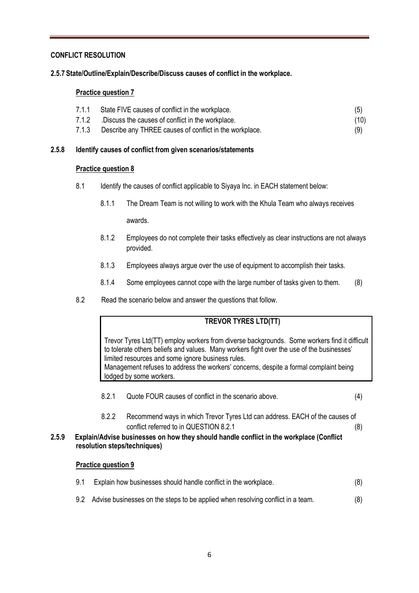#### **CONFLICT RESOLUTION**

**2.5.7 State/Outline/Explain/Describe/Discuss causes of conflict in the workplace.**

#### **Practice question 7**

| 7.1.1 | State FIVE causes of conflict in the workplace.         | (5)  |
|-------|---------------------------------------------------------|------|
| 7.1.2 | .Discuss the causes of conflict in the workplace.       | (10) |
| 7.1.3 | Describe any THREE causes of conflict in the workplace. | (9)  |

#### **2.5.8 Identify causes of conflict from given scenarios/statements**

#### **Practice question 8**

- 8.1 Identify the causes of conflict applicable to Siyaya Inc. in EACH statement below:
	- 8.1.1 The Dream Team is not willing to work with the Khula Team who always receives

awards.

- 8.1.2 Employees do not complete their tasks effectively as clear instructions are not always provided.
- 8.1.3 Employees always argue over the use of equipment to accomplish their tasks.
- 8.1.4 Some employees cannot cope with the large number of tasks given to them. (8)
- 8.2 Read the scenario below and answer the questions that follow.

#### **TREVOR TYRES LTD(TT)**

Trevor Tyres Ltd(TT) employ workers from diverse backgrounds. Some workers find it difficult to tolerate others beliefs and values. Many workers fight over the use of the businesses' limited resources and some ignore business rules. Management refuses to address the workers' concerns, despite a formal complaint being lodged by some workers.

- 8.2.1 Quote FOUR causes of conflict in the scenario above. (4)
- 8.2.2 Recommend ways in which Trevor Tyres Ltd can address. EACH of the causes of conflict referred to in QUESTION 8.2.1 (8)

#### **2.5.9 Explain/Advise businesses on how they should handle conflict in the workplace (Conflict resolution steps/techniques)**

#### **Practice question 9**

| 9.1 | Explain how businesses should handle conflict in the workplace.                     |     |
|-----|-------------------------------------------------------------------------------------|-----|
|     | 9.2 Advise businesses on the steps to be applied when resolving conflict in a team. | (8) |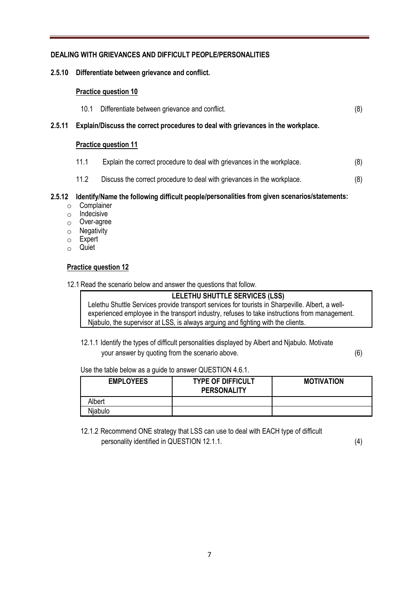#### **DEALING WITH GRIEVANCES AND DIFFICULT PEOPLE/PERSONALITIES**

#### **2.5.10 Differentiate between grievance and conflict.**

#### **Practice question 10**

| 10.1                                                                                    | Differentiate between grievance and conflict. | (8) |
|-----------------------------------------------------------------------------------------|-----------------------------------------------|-----|
| 2.5.11 Explain/Discuss the correct procedures to deal with grievances in the workplace. |                                               |     |
|                                                                                         | <b>Practice question 11</b>                   |     |
|                                                                                         |                                               |     |

- 11.1 Explain the correct procedure to deal with grievances in the workplace. (8)
- 11.2 Discuss the correct procedure to deal with grievances in the workplace. (8)

#### **2.5.12 Identify/Name the following difficult people/personalities from given scenarios/statements:**

- o Complainer
- o Indecisive
- o Over-agree
- $\circ$  Negativity
- o Expert
- o Quiet

#### **Practice question 12**

12.1 Read the scenario below and answer the questions that follow.

**LELETHU SHUTTLE SERVICES (LSS)**

Lelethu Shuttle Services provide transport services for tourists in Sharpeville. Albert, a wellexperienced employee in the transport industry, refuses to take instructions from management. Njabulo, the supervisor at LSS, is always arguing and fighting with the clients.

12.1.1 Identify the types of difficult personalities displayed by Albert and Njabulo. Motivate your answer by quoting from the scenario above. (6)

Use the table below as a guide to answer QUESTION 4.6.1.

| <b>EMPLOYEES</b> | <b>TYPE OF DIFFICULT</b><br><b>PERSONALITY</b> | <b>MOTIVATION</b> |
|------------------|------------------------------------------------|-------------------|
| Albert           |                                                |                   |
| Niabulo          |                                                |                   |

12.1.2 Recommend ONE strategy that LSS can use to deal with EACH type of difficult personality identified in QUESTION 12.1.1. (4)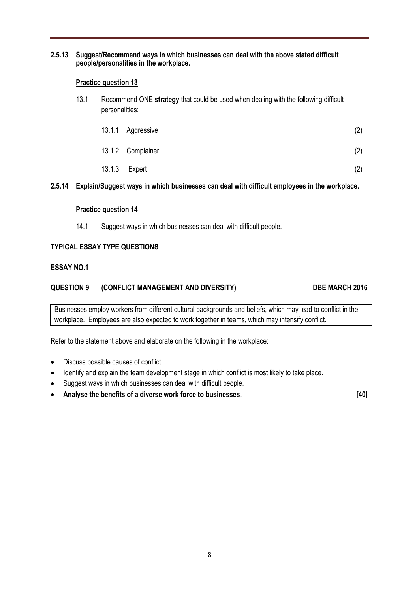#### **2.5.13 Suggest/Recommend ways in which businesses can deal with the above stated difficult people/personalities in the workplace.**

#### **Practice question 13**

13.1 Recommend ONE **strategy** that could be used when dealing with the following difficult personalities:

| 13.1.1 Aggressive | (2) |
|-------------------|-----|
| 13.1.2 Complainer | (2) |
| 13.1.3 Expert     | (2) |

#### **2.5.14 Explain/Suggest ways in which businesses can deal with difficult employees in the workplace.**

#### **Practice question 14**

14.1 Suggest ways in which businesses can deal with difficult people.

#### **TYPICAL ESSAY TYPE QUESTIONS**

#### **ESSAY NO.1**

#### **QUESTION 9 (CONFLICT MANAGEMENT AND DIVERSITY) DBE MARCH 2016**

Businesses employ workers from different cultural backgrounds and beliefs, which may lead to conflict in the workplace. Employees are also expected to work together in teams, which may intensify conflict.

Refer to the statement above and elaborate on the following in the workplace:

- Discuss possible causes of conflict.
- Identify and explain the team development stage in which conflict is most likely to take place.
- Suggest ways in which businesses can deal with difficult people.
- **Analyse the benefits of a diverse work force to businesses. [40]**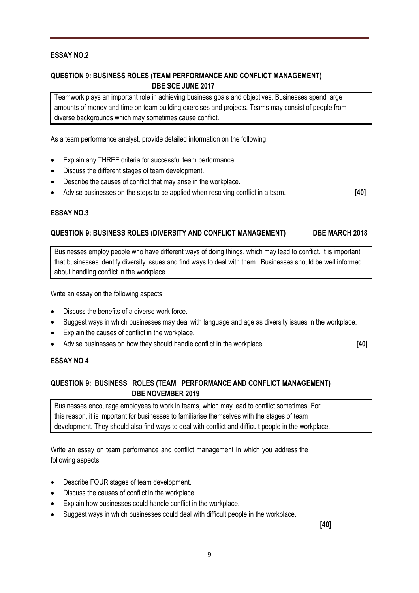#### **ESSAY NO.2**

#### **QUESTION 9: BUSINESS ROLES (TEAM PERFORMANCE AND CONFLICT MANAGEMENT) DBE SCE JUNE 2017**

Teamwork plays an important role in achieving business goals and objectives. Businesses spend large amounts of money and time on team building exercises and projects. Teams may consist of people from diverse backgrounds which may sometimes cause conflict.

As a team performance analyst, provide detailed information on the following:

- Explain any THREE criteria for successful team performance.
- Discuss the different stages of team development.
- Describe the causes of conflict that may arise in the workplace.
- Advise businesses on the steps to be applied when resolving conflict in a team. **[40]**

#### **ESSAY NO.3**

#### **QUESTION 9: BUSINESS ROLES (DIVERSITY AND CONFLICT MANAGEMENT) DBE MARCH 2018**

Businesses employ people who have different ways of doing things, which may lead to conflict. It is important that businesses identify diversity issues and find ways to deal with them. Businesses should be well informed about handling conflict in the workplace.

Write an essay on the following aspects:

- Discuss the benefits of a diverse work force.
- Suggest ways in which businesses may deal with language and age as diversity issues in the workplace.
- Explain the causes of conflict in the workplace.
- Advise businesses on how they should handle conflict in the workplace. **[40]**

#### **ESSAY NO 4**

#### **QUESTION 9: BUSINESS ROLES (TEAM PERFORMANCE AND CONFLICT MANAGEMENT) DBE NOVEMBER 2019**

Businesses encourage employees to work in teams, which may lead to conflict sometimes. For this reason, it is important for businesses to familiarise themselves with the stages of team development. They should also find ways to deal with conflict and difficult people in the workplace.

Write an essay on team performance and conflict management in which you address the following aspects:

- Describe FOUR stages of team development.
- Discuss the causes of conflict in the workplace.
- Explain how businesses could handle conflict in the workplace.
- Suggest ways in which businesses could deal with difficult people in the workplace.

**[40]**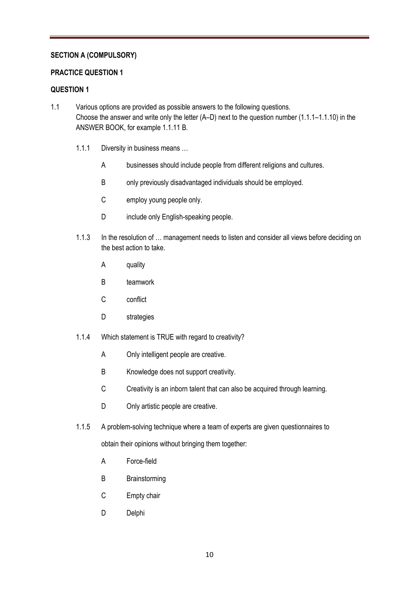#### **SECTION A (COMPULSORY)**

#### **PRACTICE QUESTION 1**

#### **QUESTION 1**

- 1.1 Various options are provided as possible answers to the following questions. Choose the answer and write only the letter (A–D) next to the question number (1.1.1–1.1.10) in the ANSWER BOOK, for example 1.1.11 B.
	- 1.1.1 Diversity in business means …
		- A businesses should include people from different religions and cultures.
		- B only previously disadvantaged individuals should be employed.
		- C employ young people only.
		- D include only English-speaking people.
	- 1.1.3 In the resolution of ... management needs to listen and consider all views before deciding on the best action to take.
		- A quality
		- B teamwork
		- C conflict
		- D strategies
	- 1.1.4 Which statement is TRUE with regard to creativity?
		- A Only intelligent people are creative.
		- B Knowledge does not support creativity.
		- C Creativity is an inborn talent that can also be acquired through learning.
		- D Only artistic people are creative.
	- 1.1.5 A problem-solving technique where a team of experts are given questionnaires to

obtain their opinions without bringing them together:

- A Force-field
- B Brainstorming
- C Empty chair
- D Delphi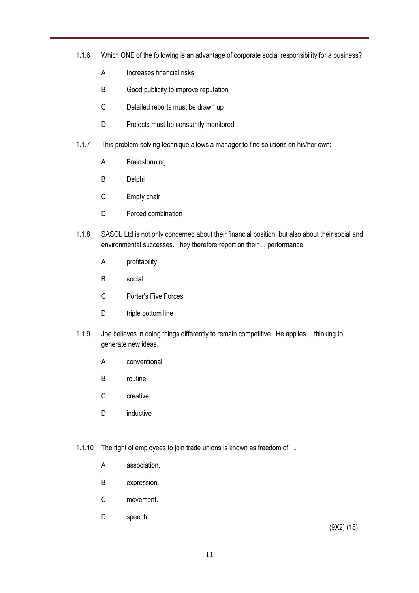- 1.1.6 Which ONE of the following is an advantage of corporate social responsibility for a business?
	- A Increases financial risks
	- B Good publicity to improve reputation
	- C Detailed reports must be drawn up
	- D Projects must be constantly monitored
- 1.1.7 This problem-solving technique allows a manager to find solutions on his/her own:
	- A Brainstorming
	- B Delphi
	- C Empty chair
	- D Forced combination
- 1.1.8 SASOL Ltd is not only concerned about their financial position, but also about their social and environmental successes. They therefore report on their ... performance.
	- A profitability
	- B social
	- C Porter's Five Forces
	- D triple bottom line
- 1.1.9 Joe believes in doing things differently to remain competitive. He applies… thinking to generate new ideas.
	- A conventional
	- B routine
	- C creative
	- D inductive
- 1.1.10 The right of employees to join trade unions is known as freedom of …
	- A association.
	- B expression.
	- C movement.
	- D speech.

(9X2) (18)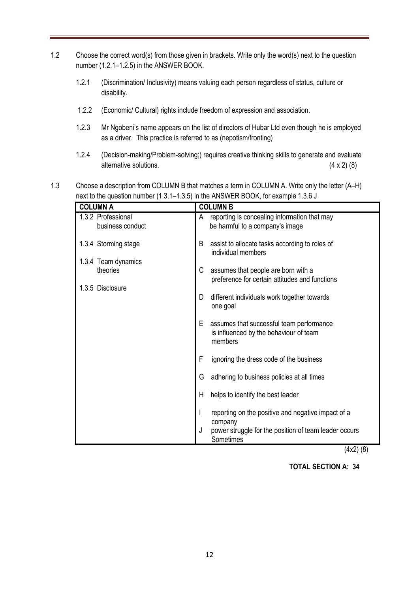- 1.2 Choose the correct word(s) from those given in brackets. Write only the word(s) next to the question number (1.2.1–1.2.5) in the ANSWER BOOK.
	- 1.2.1 (Discrimination/ Inclusivity) means valuing each person regardless of status, culture or disability.
	- 1.2.2 (Economic/ Cultural) rights include freedom of expression and association.
	- 1.2.3 Mr Ngobeni's name appears on the list of directors of Hubar Ltd even though he is employed as a driver. This practice is referred to as (nepotism/fronting)
	- 1.2.4 (Decision-making/Problem-solving;) requires creative thinking skills to generate and evaluate alternative solutions. (4 x 2) (8)
- 1.3 Choose a description from COLUMN B that matches a term in COLUMN A. Write only the letter (A–H) next to the question number (1.3.1–1.3.5) in the ANSWER BOOK, for example 1.3.6 J

| <b>COLUMN A</b>                        | <b>COLUMN B</b>                                                                                    |
|----------------------------------------|----------------------------------------------------------------------------------------------------|
| 1.3.2 Professional<br>business conduct | reporting is concealing information that may<br>A<br>be harmful to a company's image               |
| 1.3.4 Storming stage                   | B<br>assist to allocate tasks according to roles of<br>individual members                          |
| 1.3.4 Team dynamics                    |                                                                                                    |
| theories                               | C<br>assumes that people are born with a<br>preference for certain attitudes and functions         |
| 1.3.5 Disclosure                       |                                                                                                    |
|                                        | different individuals work together towards<br>D<br>one goal                                       |
|                                        | Е<br>assumes that successful team performance<br>is influenced by the behaviour of team<br>members |
|                                        | F<br>ignoring the dress code of the business                                                       |
|                                        | adhering to business policies at all times<br>G                                                    |
|                                        | helps to identify the best leader<br>H                                                             |
|                                        | reporting on the positive and negative impact of a<br>I<br>company                                 |
|                                        | J<br>power struggle for the position of team leader occurs<br>Sometimes                            |

(4x2) (8)

 **TOTAL SECTION A: 34**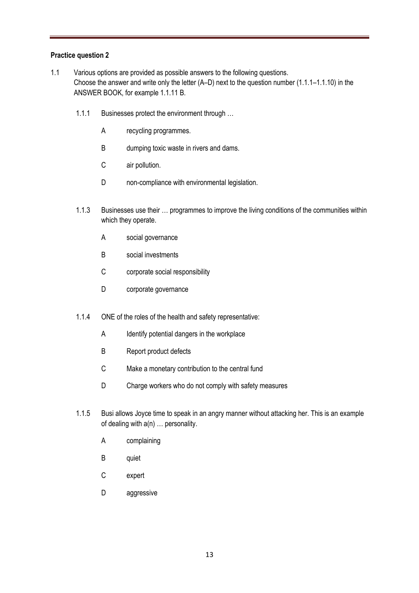#### **Practice question 2**

- 1.1 Various options are provided as possible answers to the following questions. Choose the answer and write only the letter (A–D) next to the question number (1.1.1–1.1.10) in the ANSWER BOOK, for example 1.1.11 B.
	- 1.1.1 Businesses protect the environment through ...
		- A recycling programmes.
		- B dumping toxic waste in rivers and dams.
		- C air pollution.
		- D non-compliance with environmental legislation.
	- 1.1.3 Businesses use their … programmes to improve the living conditions of the communities within which they operate.
		- A social governance
		- B social investments
		- C corporate social responsibility
		- D corporate governance
	- 1.1.4 ONE of the roles of the health and safety representative:
		- A Identify potential dangers in the workplace
		- B Report product defects
		- C Make a monetary contribution to the central fund
		- D Charge workers who do not comply with safety measures
	- 1.1.5 Busi allows Joyce time to speak in an angry manner without attacking her. This is an example of dealing with a(n) … personality.
		- A complaining
		- B quiet
		- C expert
		- D aggressive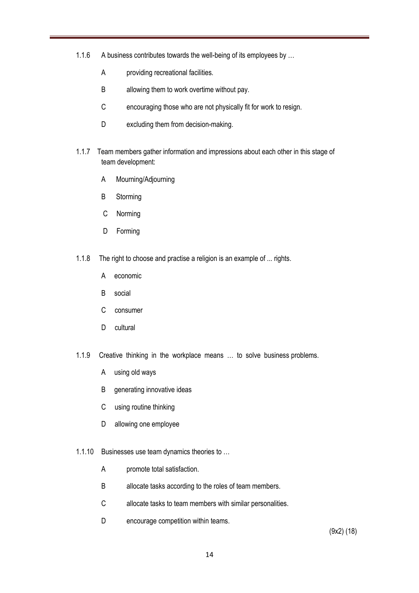- 1.1.6 A business contributes towards the well-being of its employees by …
	- A providing recreational facilities.
	- B allowing them to work overtime without pay.
	- C encouraging those who are not physically fit for work to resign.
	- D excluding them from decision-making.
- 1.1.7 Team members gather information and impressions about each other in this stage of team development:
	- A Mourning/Adjourning
	- B Storming
	- C Norming
	- D Forming
- 1.1.8 The right to choose and practise a religion is an example of ... rights.
	- A economic
	- B social
	- C consumer
	- D cultural
- 1.1.9 Creative thinking in the workplace means … to solve business problems.
	- A using old ways
	- B generating innovative ideas
	- C using routine thinking
	- D allowing one employee
- 1.1.10 Businesses use team dynamics theories to …
	- A promote total satisfaction.
	- B allocate tasks according to the roles of team members.
	- C allocate tasks to team members with similar personalities.
	- D encourage competition within teams.

(9x2) (18)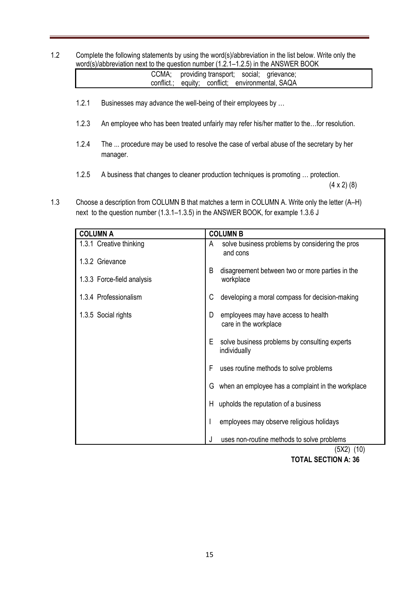1.2 Complete the following statements by using the word(s)/abbreviation in the list below. Write only the word(s)/abbreviation next to the question number (1.2.1–1.2.5) in the ANSWER BOOK

|  |  | CCMA; providing transport; social; grievance;    |  |
|--|--|--------------------------------------------------|--|
|  |  | conflict.; equity; conflict; environmental, SAQA |  |

- 1.2.1 Businesses may advance the well-being of their employees by …
- 1.2.3 An employee who has been treated unfairly may refer his/her matter to the…for resolution.
- 1.2.4 The ... procedure may be used to resolve the case of verbal abuse of the secretary by her manager.
- 1.2.5 A business that changes to cleaner production techniques is promoting … protection.

 $(4 \times 2)$  (8)

1.3 Choose a description from COLUMN B that matches a term in COLUMN A. Write only the letter (A–H) next to the question number (1.3.1–1.3.5) in the ANSWER BOOK, for example 1.3.6 J

| <b>COLUMN A</b>            |    | <b>COLUMN B</b>                                               |
|----------------------------|----|---------------------------------------------------------------|
| 1.3.1 Creative thinking    | A  | solve business problems by considering the pros<br>and cons   |
| 1.3.2 Grievance            |    |                                                               |
| 1.3.3 Force-field analysis | B  | disagreement between two or more parties in the<br>workplace  |
| 1.3.4 Professionalism      | С  | developing a moral compass for decision-making                |
| 1.3.5 Social rights        | D  | employees may have access to health<br>care in the workplace  |
|                            | E  | solve business problems by consulting experts<br>individually |
|                            | F  | uses routine methods to solve problems                        |
|                            | G  | when an employee has a complaint in the workplace             |
|                            | H. | upholds the reputation of a business                          |
|                            |    | employees may observe religious holidays                      |
|                            | J  | uses non-routine methods to solve problems<br>$(TSV2)$ $(10)$ |

 (5X2) (10)  **TOTAL SECTION A: 36**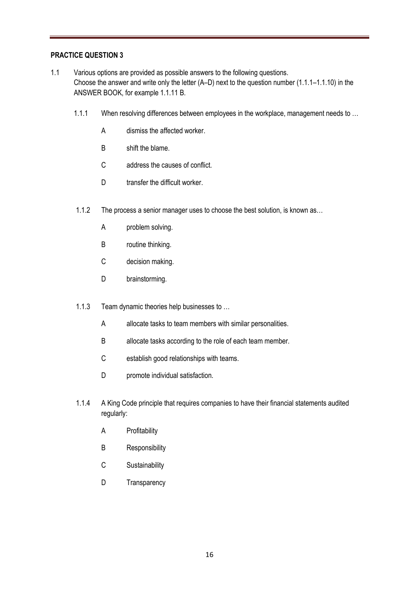#### **PRACTICE QUESTION 3**

- 1.1 Various options are provided as possible answers to the following questions. Choose the answer and write only the letter (A–D) next to the question number (1.1.1–1.1.10) in the ANSWER BOOK, for example 1.1.11 B.
	- 1.1.1 When resolving differences between employees in the workplace, management needs to ...
		- A dismiss the affected worker.
		- B shift the blame.
		- C address the causes of conflict.
		- D transfer the difficult worker.
	- 1.1.2 The process a senior manager uses to choose the best solution, is known as…
		- A problem solving.
		- B routine thinking.
		- C decision making.
		- D brainstorming.
	- 1.1.3 Team dynamic theories help businesses to …
		- A allocate tasks to team members with similar personalities.
		- B allocate tasks according to the role of each team member.
		- C establish good relationships with teams.
		- D promote individual satisfaction.
	- 1.1.4 A King Code principle that requires companies to have their financial statements audited regularly:
		- A Profitability
		- B Responsibility
		- C Sustainability
		- D Transparency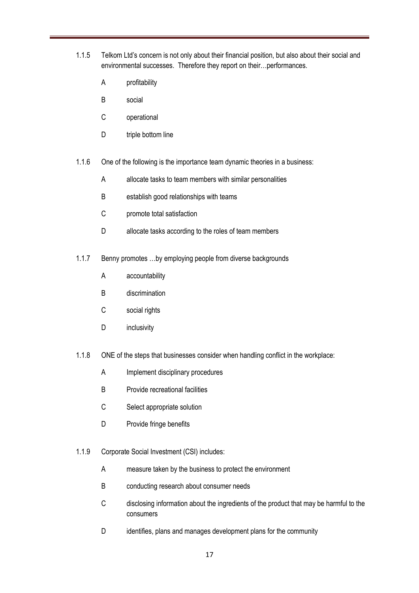- 1.1.5 Telkom Ltd's concern is not only about their financial position, but also about their social and environmental successes. Therefore they report on their…performances.
	- A profitability
	- B social
	- C operational
	- D triple bottom line
- 1.1.6 One of the following is the importance team dynamic theories in a business:
	- A allocate tasks to team members with similar personalities
	- B establish good relationships with teams
	- C promote total satisfaction
	- D allocate tasks according to the roles of team members
- 1.1.7 Benny promotes …by employing people from diverse backgrounds
	- A accountability
	- B discrimination
	- C social rights
	- D inclusivity
- 1.1.8 ONE of the steps that businesses consider when handling conflict in the workplace:
	- A Implement disciplinary procedures
	- B Provide recreational facilities
	- C Select appropriate solution
	- D Provide fringe benefits
- 1.1.9 Corporate Social Investment (CSI) includes:
	- A measure taken by the business to protect the environment
	- B conducting research about consumer needs
	- C disclosing information about the ingredients of the product that may be harmful to the consumers
	- D identifies, plans and manages development plans for the community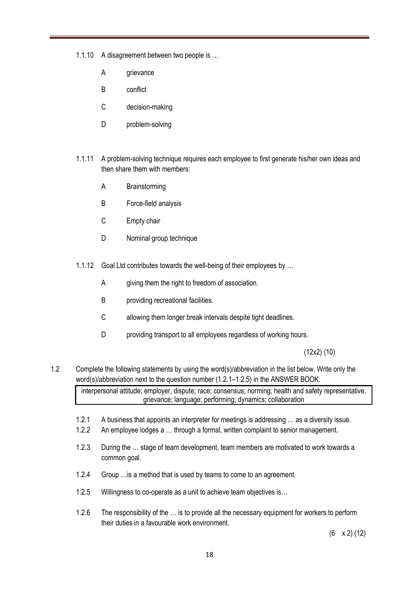1.1.10 A disagreement between two people is …

- A grievance
- B conflict
- C decision-making
- D problem-solving
- 1.1.11 A problem-solving technique requires each employee to first generate his/her own ideas and then share them with members:
	- A Brainstorming
	- B Force-field analysis
	- C Empty chair
	- D Nominal group technique
- 1.1.12 Goal Ltd contributes towards the well-being of their employees by …
	- A giving them the right to freedom of association.
	- B providing recreational facilities.
	- C allowing them longer break intervals despite tight deadlines.
	- D providing transport to all employees regardless of working hours.

(12x2) (10)

1.2 Complete the following statements by using the word(s)/abbreviation in the list below. Write only the word(s)/abbreviation next to the question number (1.2.1–1.2.5) in the ANSWER BOOK.

interpersonal attitude; employer, dispute; race; consensus; norming; health and safety representative, grievance; language; performing; dynamics; collaboration

- 1.2.1 A business that appoints an interpreter for meetings is addressing … as a diversity issue.
- 1.2.2 An employee lodges a … through a formal, written complaint to senior management.
- 1.2.3 During the … stage of team development, team members are motivated to work towards a common goal.
- 1.2.4 Group …is a method that is used by teams to come to an agreement.
- 1.2.5 Willingness to co-operate as a unit to achieve team objectives is…
- 1.2.6 The responsibility of the … is to provide all the necessary equipment for workers to perform their duties in a favourable work environment.

(6 x 2) (12)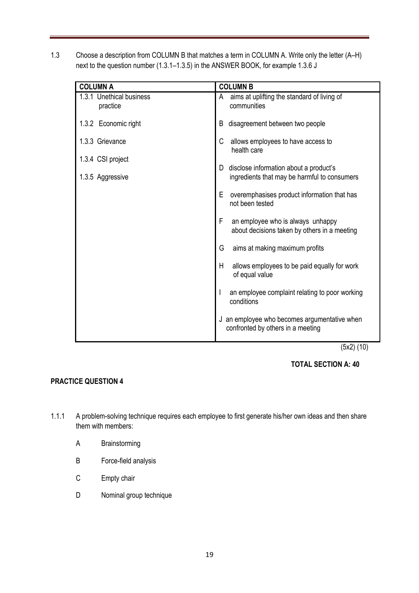1.3 Choose a description from COLUMN B that matches a term in COLUMN A. Write only the letter (A–H) next to the question number (1.3.1–1.3.5) in the ANSWER BOOK, for example 1.3.6 J

| <b>COLUMN A</b>                       | <b>COLUMN B</b>                                                                             |
|---------------------------------------|---------------------------------------------------------------------------------------------|
| 1.3.1 Unethical business<br>practice  | aims at uplifting the standard of living of<br>A<br>communities                             |
| 1.3.2 Economic right                  | disagreement between two people<br>B                                                        |
| 1.3.3 Grievance                       | allows employees to have access to<br>C<br>health care                                      |
| 1.3.4 CSI project<br>1.3.5 Aggressive | disclose information about a product's<br>D<br>ingredients that may be harmful to consumers |
|                                       | E<br>overemphasises product information that has<br>not been tested                         |
|                                       | F<br>an employee who is always unhappy<br>about decisions taken by others in a meeting      |
|                                       | G<br>aims at making maximum profits                                                         |
|                                       | H<br>allows employees to be paid equally for work<br>of equal value                         |
|                                       | an employee complaint relating to poor working<br>conditions                                |
|                                       | J an employee who becomes argumentative when<br>confronted by others in a meeting           |

(5x2) (10)

#### **TOTAL SECTION A: 40**

#### **PRACTICE QUESTION 4**

- 1.1.1 A problem-solving technique requires each employee to first generate his/her own ideas and then share them with members:
	- A Brainstorming
	- B Force-field analysis
	- C Empty chair
	- D Nominal group technique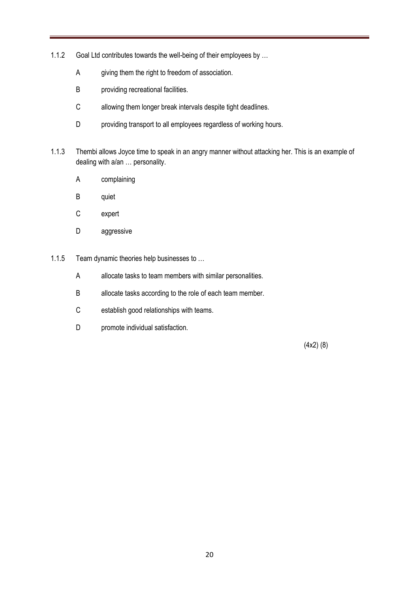- 1.1.2 Goal Ltd contributes towards the well-being of their employees by …
	- A giving them the right to freedom of association.
	- B providing recreational facilities.
	- C allowing them longer break intervals despite tight deadlines.
	- D providing transport to all employees regardless of working hours.
- 1.1.3 Thembi allows Joyce time to speak in an angry manner without attacking her. This is an example of dealing with a/an … personality.
	- A complaining
	- B quiet
	- C expert
	- D aggressive
- 1.1.5 Team dynamic theories help businesses to …
	- A allocate tasks to team members with similar personalities.
	- B allocate tasks according to the role of each team member.
	- C establish good relationships with teams.
	- D promote individual satisfaction.

(4x2) (8)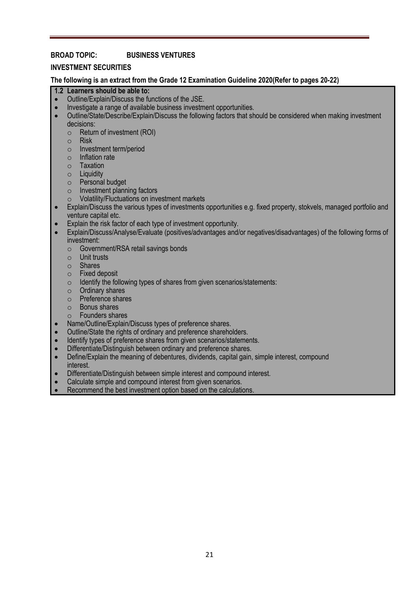#### **BROAD TOPIC: BUSINESS VENTURES**

#### **INVESTMENT SECURITIES**

**The following is an extract from the Grade 12 Examination Guideline 2020(Refer to pages 20-22)**

#### **1.2 Learners should be able to:**

- Outline/Explain/Discuss the functions of the JSE.
- Investigate a range of available business investment opportunities.
- Outline/State/Describe/Explain/Discuss the following factors that should be considered when making investment decisions:
	- o Return of investment (ROI)
	- o Risk
	- o Investment term/period
	- o Inflation rate
	- o Taxation
	- o Liquidity
	- o Personal budget
	- o Investment planning factors
	- o Volatility/Fluctuations on investment markets
- Explain/Discuss the various types of investments opportunities e.g. fixed property, stokvels, managed portfolio and venture capital etc.
- Explain the risk factor of each type of investment opportunity.
- Explain/Discuss/Analyse/Evaluate (positives/advantages and/or negatives/disadvantages) of the following forms of investment:
	- o Government/RSA retail savings bonds
	- o Unit trusts
	- o Shares
	- o Fixed deposit
	- $\circ$  Identify the following types of shares from given scenarios/statements:
	- o Ordinary shares
	- o Preference shares
	- o Bonus shares
	- o Founders shares
- Name/Outline/Explain/Discuss types of preference shares.
- Outline/State the rights of ordinary and preference shareholders.
- Identify types of preference shares from given scenarios/statements.
- Differentiate/Distinguish between ordinary and preference shares.
- Define/Explain the meaning of debentures, dividends, capital gain, simple interest, compound interest.
- Differentiate/Distinguish between simple interest and compound interest.
- Calculate simple and compound interest from given scenarios.
- Recommend the best investment option based on the calculations.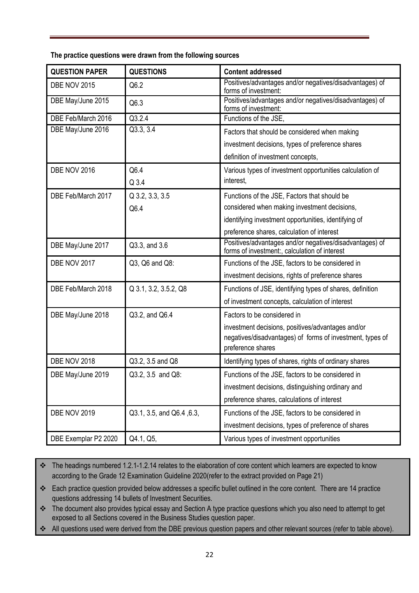**The practice questions were drawn from the following sources**

| <b>QUESTION PAPER</b> | <b>QUESTIONS</b>          | <b>Content addressed</b>                                                                                                            |
|-----------------------|---------------------------|-------------------------------------------------------------------------------------------------------------------------------------|
| <b>DBE NOV 2015</b>   | Q6.2                      | Positives/advantages and/or negatives/disadvantages) of<br>forms of investment:                                                     |
| DBE May/June 2015     | Q6.3                      | Positives/advantages and/or negatives/disadvantages) of<br>forms of investment:                                                     |
| DBE Feb/March 2016    | Q3.2.4                    | Functions of the JSE,                                                                                                               |
| DBE May/June 2016     | Q3.3, 3.4                 | Factors that should be considered when making                                                                                       |
|                       |                           | investment decisions, types of preference shares                                                                                    |
|                       |                           | definition of investment concepts,                                                                                                  |
| DBE NOV 2016          | Q6.4                      | Various types of investment opportunities calculation of                                                                            |
|                       | Q 3.4                     | interest,                                                                                                                           |
| DBE Feb/March 2017    | Q 3.2, 3.3, 3.5           | Functions of the JSE, Factors that should be                                                                                        |
|                       | Q6.4                      | considered when making investment decisions,                                                                                        |
|                       |                           | identifying investment opportunities, identifying of                                                                                |
|                       |                           | preference shares, calculation of interest                                                                                          |
| DBE May/June 2017     | Q3.3, and 3.6             | Positives/advantages and/or negatives/disadvantages) of<br>forms of investment:, calculation of interest                            |
| DBE NOV 2017          | Q3, Q6 and Q8:            | Functions of the JSE, factors to be considered in                                                                                   |
|                       |                           | investment decisions, rights of preference shares                                                                                   |
| DBE Feb/March 2018    | Q 3.1, 3.2, 3.5.2, Q8     | Functions of JSE, identifying types of shares, definition                                                                           |
|                       |                           | of investment concepts, calculation of interest                                                                                     |
| DBE May/June 2018     | Q3.2, and Q6.4            | Factors to be considered in                                                                                                         |
|                       |                           | investment decisions, positives/advantages and/or<br>negatives/disadvantages) of forms of investment, types of<br>preference shares |
| <b>DBE NOV 2018</b>   | Q3.2, 3.5 and Q8          | Identifying types of shares, rights of ordinary shares                                                                              |
| DBE May/June 2019     | Q3.2, 3.5 and Q8:         | Functions of the JSE, factors to be considered in                                                                                   |
|                       |                           | investment decisions, distinguishing ordinary and                                                                                   |
|                       |                           | preference shares, calculations of interest                                                                                         |
| <b>DBE NOV 2019</b>   | Q3.1, 3.5, and Q6.4, 6.3, | Functions of the JSE, factors to be considered in                                                                                   |
|                       |                           | investment decisions, types of preference of shares                                                                                 |
| DBE Exemplar P2 2020  | Q4.1, Q5,                 | Various types of investment opportunities                                                                                           |

\* The headings numbered 1.2.1-1.2.14 relates to the elaboration of core content which learners are expected to know according to the Grade 12 Examination Guideline 2020(refer to the extract provided on Page 21)

\* Each practice question provided below addresses a specific bullet outlined in the core content. There are 14 practice questions addressing 14 bullets of Investment Securities.

\* The document also provides typical essay and Section A type practice questions which you also need to attempt to get exposed to all Sections covered in the Business Studies question paper.

All questions used were derived from the DBE previous question papers and other relevant sources (refer to table above).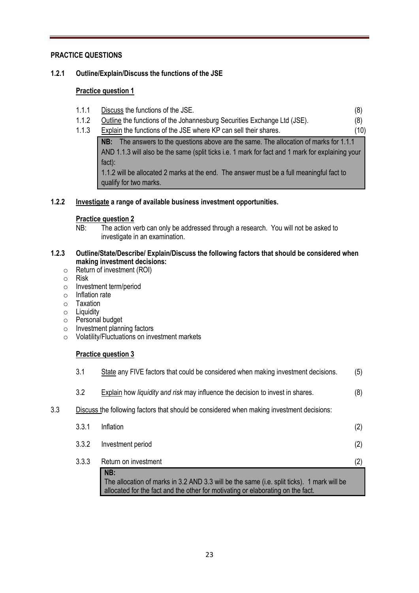#### **PRACTICE QUESTIONS**

#### **1.2.1 Outline/Explain/Discuss the functions of the JSE**

#### **Practice question 1**

- 1.1.1 <u>Discuss</u> the functions of the JSE. (8)
- 1.1.2 Outline the functions of the Johannesburg Securities Exchange Ltd (JSE). (8)
- 1.1.3 Explain the functions of the JSE where KP can sell their shares. (10)

**NB:** The answers to the questions above are the same. The allocation of marks for 1.1.1 AND 1.1.3 will also be the same (split ticks i.e. 1 mark for fact and 1 mark for explaining your fact):

1.1.2 will be allocated 2 marks at the end. The answer must be a full meaningful fact to qualify for two marks.

#### **1.2.2 Investigate a range of available business investment opportunities.**

#### **Practice question 2**

NB: The action verb can only be addressed through a research. You will not be asked to investigate in an examination.

#### **1.2.3 Outline/State/Describe/ Explain/Discuss the following factors that should be considered when making investment decisions:**

- o Return of investment (ROI)
- o Risk
- o Investment term/period
- o Inflation rate
- o Taxation
- o Liquidity
- o Personal budget
- o Investment planning factors
- o Volatility/Fluctuations on investment markets

#### **Practice question 3**

|     |       | NB:<br>The allocation of marks in 3.2 AND 3.3 will be the same (i.e. split ticks). 1 mark will be<br>allocated for the fact and the other for motivating or elaborating on the fact. |     |
|-----|-------|--------------------------------------------------------------------------------------------------------------------------------------------------------------------------------------|-----|
|     | 3.3.3 | Return on investment                                                                                                                                                                 | (2) |
|     | 3.3.2 | Investment period                                                                                                                                                                    | (2) |
|     | 3.3.1 | Inflation                                                                                                                                                                            | (2) |
| 3.3 |       | Discuss the following factors that should be considered when making investment decisions:                                                                                            |     |
|     | 3.2   | Explain how liquidity and risk may influence the decision to invest in shares.                                                                                                       | (8) |
|     | 3.1   | State any FIVE factors that could be considered when making investment decisions.                                                                                                    | (5) |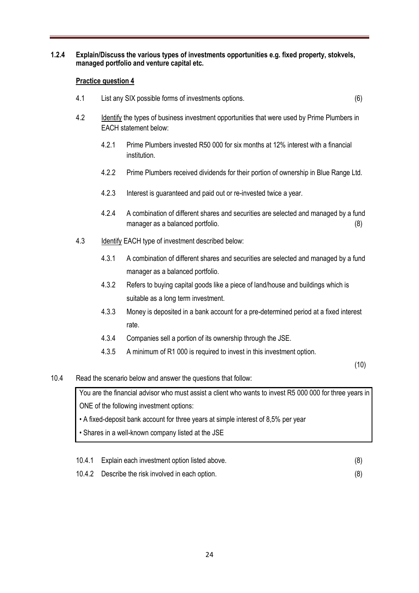#### **1.2.4 Explain/Discuss the various types of investments opportunities e.g. fixed property, stokvels, managed portfolio and venture capital etc.**

#### **Practice question 4**

- 4.1 List any SIX possible forms of investments options. (6)
- 4.2 Identify the types of business investment opportunities that were used by Prime Plumbers in EACH statement below:
	- 4.2.1 Prime Plumbers invested R50 000 for six months at 12% interest with a financial institution.
	- 4.2.2 Prime Plumbers received dividends for their portion of ownership in Blue Range Ltd.
	- 4.2.3 Interest is guaranteed and paid out or re-invested twice a year.
	- 4.2.4 A combination of different shares and securities are selected and managed by a fund manager as a balanced portfolio. (8)
- 4.3 Identify EACH type of investment described below:
	- 4.3.1 A combination of different shares and securities are selected and managed by a fund manager as a balanced portfolio.
	- 4.3.2 Refers to buying capital goods like a piece of land/house and buildings which is suitable as a long term investment.
	- 4.3.3 Money is deposited in a bank account for a pre-determined period at a fixed interest rate.
	- 4.3.4 Companies sell a portion of its ownership through the JSE.
	- 4.3.5 A minimum of R1 000 is required to invest in this investment option.

(10)

10.4 Read the scenario below and answer the questions that follow:

You are the financial advisor who must assist a client who wants to invest R5 000 000 for three years in ONE of the following investment options:

• A fixed-deposit bank account for three years at simple interest of 8,5% per year

• Shares in a well-known company listed at the JSE

| 10.4.1 Explain each investment option listed above. |  |
|-----------------------------------------------------|--|
|                                                     |  |

10.4.2 Describe the risk involved in each option. (8)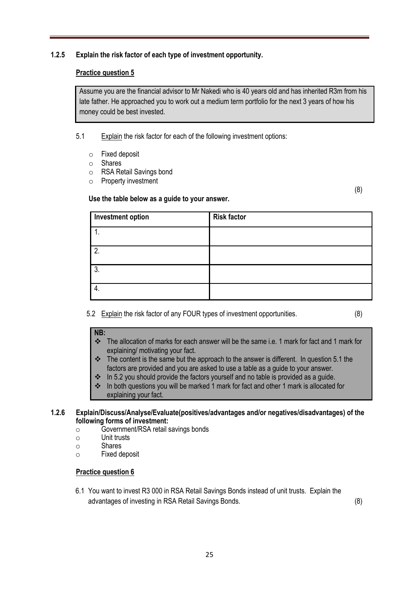#### **1.2.5 Explain the risk factor of each type of investment opportunity.**

#### **Practice question 5**

Assume you are the financial advisor to Mr Nakedi who is 40 years old and has inherited R3m from his late father. He approached you to work out a medium term portfolio for the next 3 years of how his money could be best invested.

5.1 Explain the risk factor for each of the following investment options:

- o Fixed deposit
- o Shares
- o RSA Retail Savings bond
- o Property investment

#### **Use the table below as a guide to your answer.**

(8)

| <b>Investment option</b> | <b>Risk factor</b> |
|--------------------------|--------------------|
| ι.                       |                    |
| 2.                       |                    |
| 3.                       |                    |
| 4.                       |                    |

5.2 Explain the risk factor of any FOUR types of investment opportunities. (8)

#### **NB:**

- The allocation of marks for each answer will be the same i.e. 1 mark for fact and 1 mark for explaining/ motivating your fact.
- $\cdot \cdot$  The content is the same but the approach to the answer is different. In question 5.1 the factors are provided and you are asked to use a table as a guide to your answer.
- $\cdot$  In 5.2 you should provide the factors yourself and no table is provided as a quide.
- In both questions you will be marked 1 mark for fact and other 1 mark is allocated for explaining your fact.

#### **1.2.6 Explain/Discuss/Analyse/Evaluate(positives/advantages and/or negatives/disadvantages) of the following forms of investment:**

- o Government/RSA retail savings bonds
- o Unit trusts
- o Shares
- o Fixed deposit

#### **Practice question 6**

6.1 You want to invest R3 000 in RSA Retail Savings Bonds instead of unit trusts. Explain the advantages of investing in RSA Retail Savings Bonds. (8)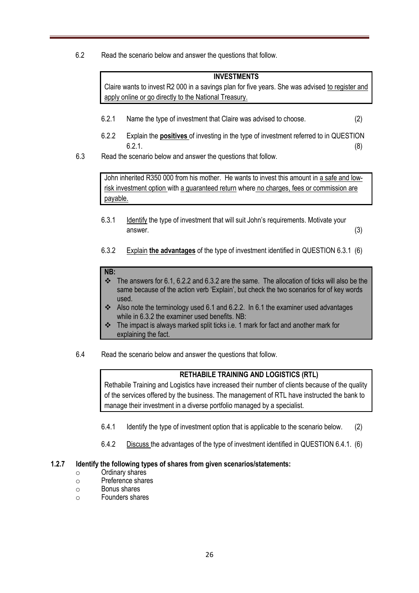6.2 Read the scenario below and answer the questions that follow.

#### **INVESTMENTS**

Claire wants to invest R2 000 in a savings plan for five years. She was advised to register and apply online or go directly to the National Treasury.

- 6.2.1 Name the type of investment that Claire was advised to choose. (2)
- 6.2.2 Explain the **positives** of investing in the type of investment referred to in QUESTION  $6.2.1.$  (8)
- 6.3 Read the scenario below and answer the questions that follow.

John inherited R350 000 from his mother. He wants to invest this amount in a safe and lowrisk investment option with a guaranteed return where no charges, fees or commission are payable.

- 6.3.1 Identify the type of investment that will suit John's requirements. Motivate your answer. (3)
- 6.3.2 Explain **the advantages** of the type of investment identified in QUESTION 6.3.1 (6)

#### **NB:**

- $\cdot \cdot$  The answers for 6.1, 6.2.2 and 6.3.2 are the same. The allocation of ticks will also be the same because of the action verb 'Explain', but check the two scenarios for of key words used.
- Also note the terminology used 6.1 and 6.2.2. In 6.1 the examiner used advantages while in 6.3.2 the examiner used benefits. NB:
- $\cdot \cdot$  The impact is always marked split ticks i.e. 1 mark for fact and another mark for explaining the fact.
- 6.4 Read the scenario below and answer the questions that follow.

#### **RETHABILE TRAINING AND LOGISTICS (RTL)**

Rethabile Training and Logistics have increased their number of clients because of the quality of the services offered by the business. The management of RTL have instructed the bank to manage their investment in a diverse portfolio managed by a specialist.

- 6.4.1 Identify the type of investment option that is applicable to the scenario below. (2)
- 6.4.2 Discuss the advantages of the type of investment identified in QUESTION 6.4.1. (6)

#### **1.2.7 Identify the following types of shares from given scenarios/statements:**

- o Ordinary shares
- o Preference shares
- o Bonus shares
- o Founders shares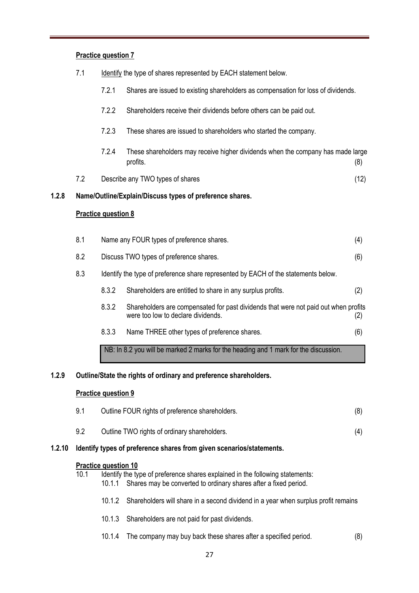# **Practice question 7** 7.1 Identify the type of shares represented by EACH statement below. 7.2.1 Shares are issued to existing shareholders as compensation for loss of dividends. 7.2.2 Shareholders receive their dividends before others can be paid out. 7.2.3 These shares are issued to shareholders who started the company. 7.2.4 These shareholders may receive higher dividends when the company has made large profits. (8) 7.2 Describe any TWO types of shares (12) **1.2.8 Name/Outline/Explain/Discuss types of preference shares. Practice question 8** 8.1 Name any FOUR types of preference shares. (4) 8.2 Discuss TWO types of preference shares. (6) 8.3 Identify the type of preference share represented by EACH of the statements below. 8.3.2 Shareholders are entitled to share in any surplus profits. (2) 8.3.2 Shareholders are compensated for past dividends that were not paid out when profits were too low to declare dividends. (2)  $(2)$ 8.3.3 Name THREE other types of preference shares. (6) NB: In 8.2 you will be marked 2 marks for the heading and 1 mark for the discussion.

#### **1.2.9 Outline/State the rights of ordinary and preference shareholders.**

#### **Practice question 9**

| 9.1 | Outline FOUR rights of preference shareholders. |     |
|-----|-------------------------------------------------|-----|
| 9.2 | Outline TWO rights of ordinary shareholders.    | (4) |

#### **1.2.10 Identify types of preference shares from given scenarios/statements.**

#### **Practice question 10**

| 10.1 |  | Identify the type of preference shares explained in the following statements: |  |  |  |
|------|--|-------------------------------------------------------------------------------|--|--|--|
|      |  |                                                                               |  |  |  |

- 10.1.1 Shares may be converted to ordinary shares after a fixed period.
- 10.1.2 Shareholders will share in a second dividend in a year when surplus profit remains
- 10.1.3 Shareholders are not paid for past dividends.
- 10.1.4 The company may buy back these shares after a specified period. (8)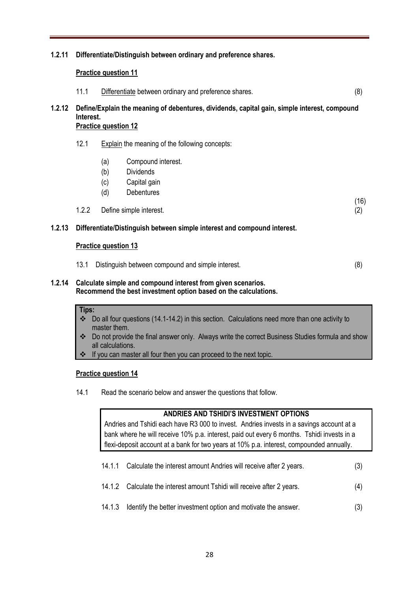#### **1.2.11 Differentiate/Distinguish between ordinary and preference shares.**

#### **Practice question 11**

| 11.1 | Differentiate between ordinary and preference shares. |  |
|------|-------------------------------------------------------|--|
|------|-------------------------------------------------------|--|

**1.2.12 Define/Explain the meaning of debentures, dividends, capital gain, simple interest, compound Interest.**

#### **Practice question 12**

- 12.1 Explain the meaning of the following concepts:
	- (a) Compound interest.
	- (b) Dividends
	- (c) Capital gain
	- (d) Debentures
- 1.2.2 Define simple interest. (2)

(16)

#### **1.2.13 Differentiate/Distinguish between simple interest and compound interest.**

#### **Practice question 13**

| 13.1 Distinguish between compound and simple interest. | (8) |
|--------------------------------------------------------|-----|
|                                                        |     |

#### **1.2.14 Calculate simple and compound interest from given scenarios. Recommend the best investment option based on the calculations.**

#### **Tips:**

- Do all four questions (14.1-14.2) in this section. Calculations need more than one activity to master them.
- \* Do not provide the final answer only. Always write the correct Business Studies formula and show all calculations.
- If you can master all four then you can proceed to the next topic.

#### **Practice question 14**

14.1 Read the scenario below and answer the questions that follow.

#### **ANDRIES AND TSHIDI'S INVESTMENT OPTIONS**

Andries and Tshidi each have R3 000 to invest. Andries invests in a savings account at a bank where he will receive 10% p.a. interest, paid out every 6 months. Tshidi invests in a flexi-deposit account at a bank for two years at 10% p.a. interest, compounded annually.

- 14.1.1 Calculate the interest amount Andries will receive after 2 years. (3)
- 14.1.2 Calculate the interest amount Tshidi will receive after 2 years. (4)
- 14.1.3 Identify the better investment option and motivate the answer. (3)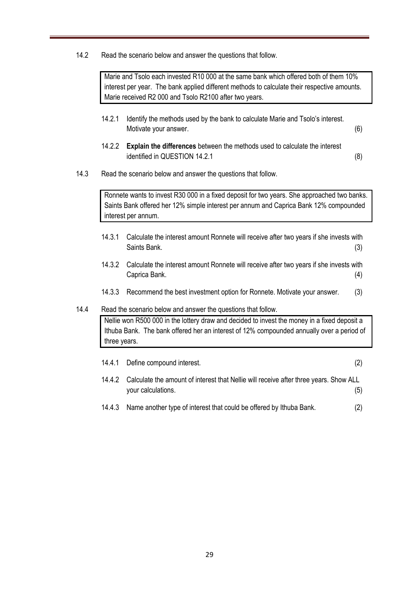14.2 Read the scenario below and answer the questions that follow.

Marie and Tsolo each invested R10 000 at the same bank which offered both of them 10% interest per year. The bank applied different methods to calculate their respective amounts. Marie received R2 000 and Tsolo R2100 after two years.

- 14.2.1 Identify the methods used by the bank to calculate Marie and Tsolo's interest. Motivate your answer. (6)
- 14.2.2 **Explain the differences** between the methods used to calculate the interest identified in QUESTION 14.2.1 (8)
- 14.3 Read the scenario below and answer the questions that follow.

Ronnete wants to invest R30 000 in a fixed deposit for two years. She approached two banks. Saints Bank offered her 12% simple interest per annum and Caprica Bank 12% compounded interest per annum.

- 14.3.1 Calculate the interest amount Ronnete will receive after two years if she invests with Saints Bank. (3)
- 14.3.2 Calculate the interest amount Ronnete will receive after two years if she invests with Caprica Bank. (4)
- 14.3.3 Recommend the best investment option for Ronnete. Motivate your answer. (3)

#### 14.4 Read the scenario below and answer the questions that follow.

Nellie won R500 000 in the lottery draw and decided to invest the money in a fixed deposit a Ithuba Bank. The bank offered her an interest of 12% compounded annually over a period of three years.

|        | 14.4.1 Define compound interest.                                                                            | (2) |
|--------|-------------------------------------------------------------------------------------------------------------|-----|
| 14.4.2 | Calculate the amount of interest that Nellie will receive after three years. Show ALL<br>your calculations. | (5) |
| 14.4.3 | Name another type of interest that could be offered by Ithuba Bank.                                         |     |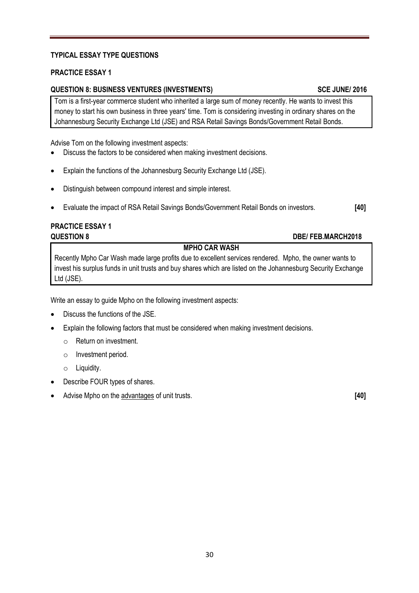#### **TYPICAL ESSAY TYPE QUESTIONS**

#### **PRACTICE ESSAY 1**

#### **QUESTION 8: BUSINESS VENTURES (INVESTMENTS) SCE JUNE/ 2016**

Tom is a first-year commerce student who inherited a large sum of money recently. He wants to invest this money to start his own business in three years' time. Tom is considering investing in ordinary shares on the Johannesburg Security Exchange Ltd (JSE) and RSA Retail Savings Bonds/Government Retail Bonds.

Advise Tom on the following investment aspects:

- Discuss the factors to be considered when making investment decisions.
- Explain the functions of the Johannesburg Security Exchange Ltd (JSE).
- Distinguish between compound interest and simple interest.
- Evaluate the impact of RSA Retail Savings Bonds/Government Retail Bonds on investors. **[40]**

# **PRACTICE ESSAY 1**

#### **QUESTION 8 DBE/ FEB.MARCH2018**

#### **MPHO CAR WASH**

Recently Mpho Car Wash made large profits due to excellent services rendered. Mpho, the owner wants to invest his surplus funds in unit trusts and buy shares which are listed on the Johannesburg Security Exchange Ltd (JSE).

Write an essay to guide Mpho on the following investment aspects:

- Discuss the functions of the JSE.
- Explain the following factors that must be considered when making investment decisions.
	- o Return on investment.
	- o Investment period.
	- o Liquidity.
- Describe FOUR types of shares.
- Advise Mpho on the advantages of unit trusts. **[40]**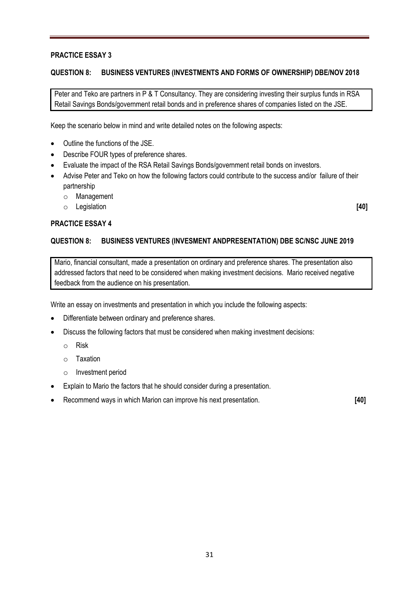#### **PRACTICE ESSAY 3**

#### **QUESTION 8: BUSINESS VENTURES (INVESTMENTS AND FORMS OF OWNERSHIP) DBE/NOV 2018**

Peter and Teko are partners in P & T Consultancy. They are considering investing their surplus funds in RSA Retail Savings Bonds/government retail bonds and in preference shares of companies listed on the JSE.

Keep the scenario below in mind and write detailed notes on the following aspects:

- Outline the functions of the JSE.
- Describe FOUR types of preference shares.
- Evaluate the impact of the RSA Retail Savings Bonds/government retail bonds on investors.
- Advise Peter and Teko on how the following factors could contribute to the success and/or failure of their partnership
	- o Management
	- o Legislation **[40]**

#### **PRACTICE ESSAY 4**

#### **QUESTION 8: BUSINESS VENTURES (INVESMENT ANDPRESENTATION) DBE SC/NSC JUNE 2019**

Mario, financial consultant, made a presentation on ordinary and preference shares. The presentation also addressed factors that need to be considered when making investment decisions. Mario received negative feedback from the audience on his presentation.

Write an essay on investments and presentation in which you include the following aspects:

- Differentiate between ordinary and preference shares.
- Discuss the following factors that must be considered when making investment decisions:
	- o Risk
	- o Taxation
	- o Investment period
- Explain to Mario the factors that he should consider during a presentation.
- Recommend ways in which Marion can improve his next presentation. **[40]**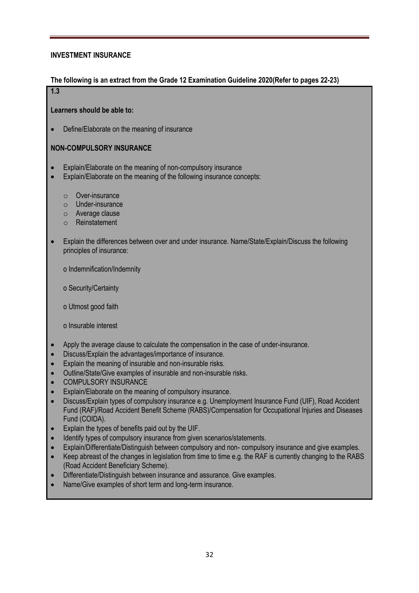#### **INVESTMENT INSURANCE**

#### **The following is an extract from the Grade 12 Examination Guideline 2020(Refer to pages 22-23)**

#### **1.3**

**Learners should be able to:**

• Define/Elaborate on the meaning of insurance

#### **NON-COMPULSORY INSURANCE**

- Explain/Elaborate on the meaning of non-compulsory insurance
- Explain/Elaborate on the meaning of the following insurance concepts:
	- o Over-insurance
	- o Under-insurance
	- o Average clause
	- o Reinstatement
- Explain the differences between over and under insurance. Name/State/Explain/Discuss the following principles of insurance:

o Indemnification/Indemnity

o Security/Certainty

o Utmost good faith

o Insurable interest

- Apply the average clause to calculate the compensation in the case of under-insurance.
- Discuss/Explain the advantages/importance of insurance.
- Explain the meaning of insurable and non-insurable risks.
- Outline/State/Give examples of insurable and non-insurable risks.
- COMPULSORY INSURANCE
- Explain/Elaborate on the meaning of compulsory insurance.
- Discuss/Explain types of compulsory insurance e.g. Unemployment Insurance Fund (UIF), Road Accident Fund (RAF)/Road Accident Benefit Scheme (RABS)/Compensation for Occupational Injuries and Diseases Fund (COIDA).
- Explain the types of benefits paid out by the UIF.
- Identify types of compulsory insurance from given scenarios/statements.
- Explain/Differentiate/Distinguish between compulsory and non- compulsory insurance and give examples.
- Keep abreast of the changes in legislation from time to time e.g. the RAF is currently changing to the RABS (Road Accident Beneficiary Scheme).
- Differentiate/Distinguish between insurance and assurance. Give examples.
- Name/Give examples of short term and long-term insurance.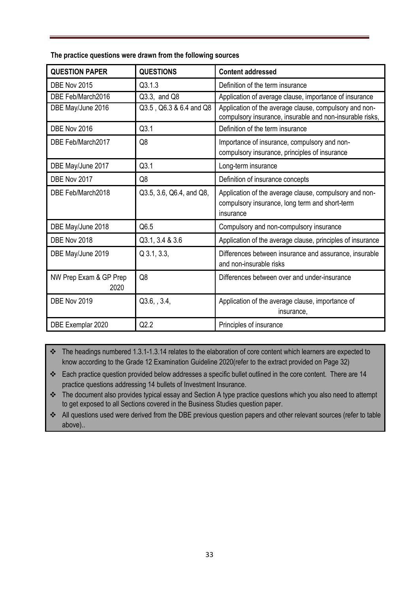| The practice questions were drawn from the following sources |
|--------------------------------------------------------------|
|--------------------------------------------------------------|

| <b>QUESTION PAPER</b>          | <b>QUESTIONS</b>         | <b>Content addressed</b>                                                                                              |
|--------------------------------|--------------------------|-----------------------------------------------------------------------------------------------------------------------|
| DBE Nov 2015                   | Q3.1.3                   | Definition of the term insurance                                                                                      |
| DBE Feb/March2016              | Q3.3, and Q8             | Application of average clause, importance of insurance                                                                |
| DBE May/June 2016              | Q3.5, Q6.3 & 6.4 and Q8  | Application of the average clause, compulsory and non-<br>compulsory insurance, insurable and non-insurable risks,    |
| DBE Nov 2016                   | Q3.1                     | Definition of the term insurance                                                                                      |
| DBE Feb/March2017              | Q <sub>8</sub>           | Importance of insurance, compulsory and non-<br>compulsory insurance, principles of insurance                         |
| DBE May/June 2017              | Q3.1                     | Long-term insurance                                                                                                   |
| DBE Nov 2017                   | Q <sub>8</sub>           | Definition of insurance concepts                                                                                      |
| DBE Feb/March2018              | Q3.5, 3.6, Q6.4, and Q8, | Application of the average clause, compulsory and non-<br>compulsory insurance, long term and short-term<br>insurance |
| DBE May/June 2018              | Q6.5                     | Compulsory and non-compulsory insurance                                                                               |
| DBE Nov 2018                   | Q3.1, 3.4 & 3.6          | Application of the average clause, principles of insurance                                                            |
| DBE May/June 2019              | $Q$ 3.1, 3.3,            | Differences between insurance and assurance, insurable<br>and non-insurable risks                                     |
| NW Prep Exam & GP Prep<br>2020 | Q8                       | Differences between over and under-insurance                                                                          |
| DBE Nov 2019                   | Q3.6, , 3.4,             | Application of the average clause, importance of<br>insurance,                                                        |
| DBE Exemplar 2020              | Q2.2                     | Principles of insurance                                                                                               |

\* The headings numbered 1.3.1-1.3.14 relates to the elaboration of core content which learners are expected to know according to the Grade 12 Examination Guideline 2020(refer to the extract provided on Page 32)

\* Each practice question provided below addresses a specific bullet outlined in the core content. There are 14 practice questions addressing 14 bullets of Investment Insurance.

\* The document also provides typical essay and Section A type practice questions which you also need to attempt to get exposed to all Sections covered in the Business Studies question paper.

 All questions used were derived from the DBE previous question papers and other relevant sources (refer to table above)..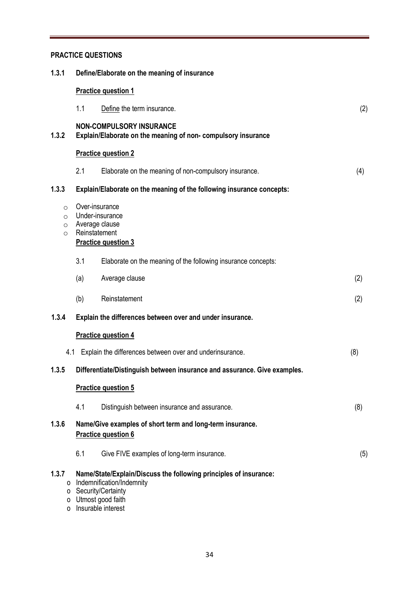#### **PRACTICE QUESTIONS**

| 1.3.1                                     |     | Define/Elaborate on the meaning of insurance                                                                                                                      |     |  |  |  |
|-------------------------------------------|-----|-------------------------------------------------------------------------------------------------------------------------------------------------------------------|-----|--|--|--|
|                                           |     | <b>Practice question 1</b>                                                                                                                                        |     |  |  |  |
|                                           | 1.1 | Define the term insurance.                                                                                                                                        | (2) |  |  |  |
| 1.3.2                                     |     | <b>NON-COMPULSORY INSURANCE</b><br>Explain/Elaborate on the meaning of non-compulsory insurance                                                                   |     |  |  |  |
|                                           |     | <b>Practice question 2</b>                                                                                                                                        |     |  |  |  |
|                                           | 2.1 | Elaborate on the meaning of non-compulsory insurance.                                                                                                             | (4) |  |  |  |
| 1.3.3                                     |     | Explain/Elaborate on the meaning of the following insurance concepts:                                                                                             |     |  |  |  |
| $\circ$<br>$\circ$<br>$\circ$<br>$\Omega$ |     | Over-insurance<br>Under-insurance<br>Average clause<br>Reinstatement<br><b>Practice question 3</b>                                                                |     |  |  |  |
|                                           | 3.1 | Elaborate on the meaning of the following insurance concepts:                                                                                                     |     |  |  |  |
|                                           | (a) | Average clause                                                                                                                                                    | (2) |  |  |  |
|                                           | (b) | Reinstatement                                                                                                                                                     | (2) |  |  |  |
| 1.3.4                                     |     | Explain the differences between over and under insurance.                                                                                                         |     |  |  |  |
|                                           |     | <b>Practice question 4</b>                                                                                                                                        |     |  |  |  |
|                                           | 4.1 | Explain the differences between over and underinsurance.                                                                                                          | (8) |  |  |  |
| 1.3.5                                     |     | Differentiate/Distinguish between insurance and assurance. Give examples.                                                                                         |     |  |  |  |
|                                           |     | <b>Practice question 5</b>                                                                                                                                        |     |  |  |  |
|                                           | 4.1 | Distinguish between insurance and assurance.                                                                                                                      | (8) |  |  |  |
| 1.3.6                                     |     | Name/Give examples of short term and long-term insurance.<br><b>Practice question 6</b>                                                                           |     |  |  |  |
|                                           | 6.1 | Give FIVE examples of long-term insurance.                                                                                                                        | (5) |  |  |  |
| 1.3.7<br>0<br>$\Omega$                    | 0   | Name/State/Explain/Discuss the following principles of insurance:<br>Indemnification/Indemnity<br>o Security/Certainty<br>Utmost good faith<br>Insurable interest |     |  |  |  |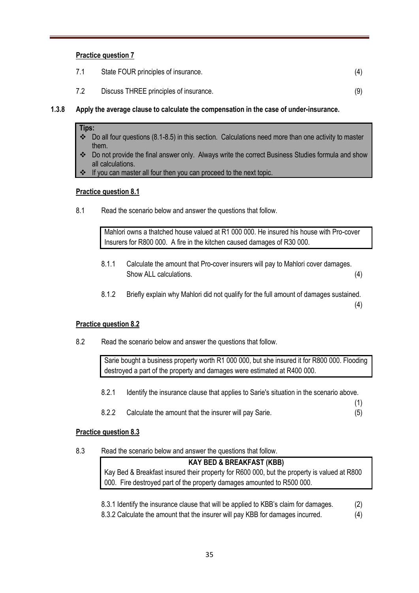#### **Practice question 7**

|  | State FOUR principles of insurance. |  |  |
|--|-------------------------------------|--|--|
|--|-------------------------------------|--|--|

- 7.2 Discuss THREE principles of insurance. (9)
- **1.3.8 Apply the average clause to calculate the compensation in the case of under-insurance.**

#### **Tips:**

- Do all four questions (8.1-8.5) in this section. Calculations need more than one activity to master them.
- Do not provide the final answer only. Always write the correct Business Studies formula and show all calculations.
- If you can master all four then you can proceed to the next topic.

#### **Practice question 8.1**

8.1 Read the scenario below and answer the questions that follow.

Mahlori owns a thatched house valued at R1 000 000. He insured his house with Pro-cover Insurers for R800 000. A fire in the kitchen caused damages of R30 000.

- 8.1.1 Calculate the amount that Pro-cover insurers will pay to Mahlori cover damages. Show ALL calculations. (4)
- 8.1.2 Briefly explain why Mahlori did not qualify for the full amount of damages sustained.

(4)

(1)

#### **Practice question 8.2**

8.2 Read the scenario below and answer the questions that follow.

Sarie bought a business property worth R1 000 000, but she insured it for R800 000. Flooding destroyed a part of the property and damages were estimated at R400 000.

- 8.2.1 Identify the insurance clause that applies to Sarie's situation in the scenario above.
- 8.2.2 Calculate the amount that the insurer will pay Sarie. (5)

#### **Practice question 8.3**

8.3 Read the scenario below and answer the questions that follow.

## **KAY BED & BREAKFAST (KBB)** Kay Bed & Breakfast insured their property for R600 000, but the property is valued at R800 000. Fire destroyed part of the property damages amounted to R500 000.

- 8.3.1 Identify the insurance clause that will be applied to KBB's claim for damages. (2)
- 8.3.2 Calculate the amount that the insurer will pay KBB for damages incurred. (4)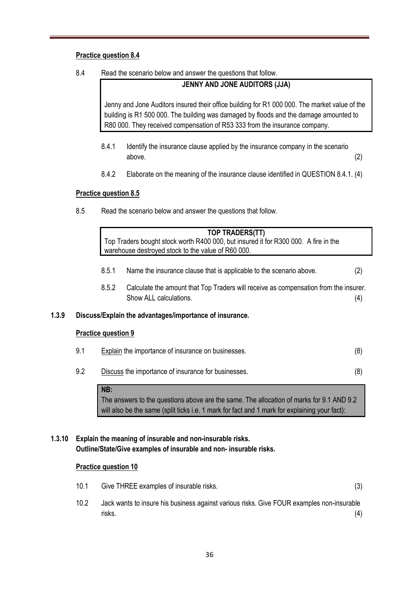#### **Practice question 8.4**

8.4 Read the scenario below and answer the questions that follow.

#### **JENNY AND JONE AUDITORS (JJA)**

Jenny and Jone Auditors insured their office building for R1 000 000. The market value of the building is R1 500 000. The building was damaged by floods and the damage amounted to R80 000. They received compensation of R53 333 from the insurance company.

- 8.4.1 Identify the insurance clause applied by the insurance company in the scenario above. (2)
- 8.4.2 Elaborate on the meaning of the insurance clause identified in QUESTION 8.4.1. (4)

#### **Practice question 8.5**

8.5 Read the scenario below and answer the questions that follow.

|       |                            | TOP TRADERS(TT)<br>Top Traders bought stock worth R400 000, but insured it for R300 000. A fire in the<br>warehouse destroyed stock to the value of R60 000. |                                                                                                                                                                                           |     |  |  |
|-------|----------------------------|--------------------------------------------------------------------------------------------------------------------------------------------------------------|-------------------------------------------------------------------------------------------------------------------------------------------------------------------------------------------|-----|--|--|
|       |                            | 8.5.1                                                                                                                                                        | Name the insurance clause that is applicable to the scenario above.                                                                                                                       | (2) |  |  |
|       |                            | 8.5.2                                                                                                                                                        | Calculate the amount that Top Traders will receive as compensation from the insurer.<br>Show ALL calculations.                                                                            | (4) |  |  |
| 1.3.9 |                            |                                                                                                                                                              | Discuss/Explain the advantages/importance of insurance.                                                                                                                                   |     |  |  |
|       | <b>Practice question 9</b> |                                                                                                                                                              |                                                                                                                                                                                           |     |  |  |
|       | 9.1                        |                                                                                                                                                              | <b>Explain</b> the importance of insurance on businesses.                                                                                                                                 | (8) |  |  |
|       | 9.2                        |                                                                                                                                                              | Discuss the importance of insurance for businesses.                                                                                                                                       | (8) |  |  |
|       |                            | NB:                                                                                                                                                          | The answers to the questions above are the same. The allocation of marks for 9.1 AND 9.2<br>will also be the same (split ticks i.e. 1 mark for fact and 1 mark for explaining your fact): |     |  |  |

#### **1.3.10 Explain the meaning of insurable and non-insurable risks. Outline/State/Give examples of insurable and non- insurable risks.**

#### **Practice question 10**

- 10.1 Give THREE examples of insurable risks. (3)
- 10.2 Jack wants to insure his business against various risks. Give FOUR examples non-insurable risks. (4)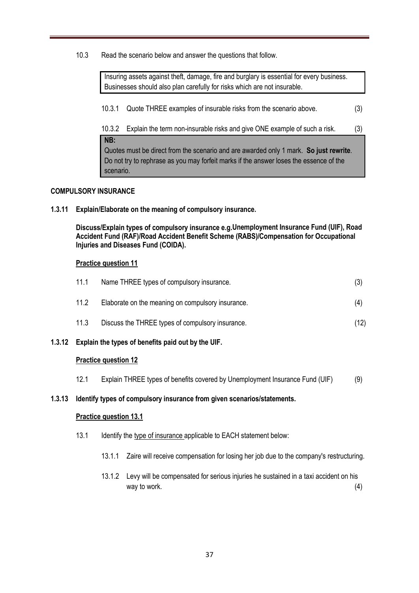10.3 Read the scenario below and answer the questions that follow.

Insuring assets against theft, damage, fire and burglary is essential for every business. Businesses should also plan carefully for risks which are not insurable.

10.3.1 Quote THREE examples of insurable risks from the scenario above. (3)

10.3.2 Explain the term non-insurable risks and give ONE example of such a risk. (3) **NB:** Quotes must be direct from the scenario and are awarded only 1 mark. **So just rewrite**. Do not try to rephrase as you may forfeit marks if the answer loses the essence of the scenario.

#### **COMPULSORY INSURANCE**

**1.3.11 Explain/Elaborate on the meaning of compulsory insurance.**

**Discuss/Explain types of compulsory insurance e.g.Unemployment Insurance Fund (UIF), Road Accident Fund (RAF)/Road Accident Benefit Scheme (RABS)/Compensation for Occupational Injuries and Diseases Fund (COIDA).**

#### **Practice question 11**

| 11.1 | Name THREE types of compulsory insurance.         |      |
|------|---------------------------------------------------|------|
| 11.2 | Elaborate on the meaning on compulsory insurance. | (4)  |
| 11.3 | Discuss the THREE types of compulsory insurance.  | (12) |

**1.3.12 Explain the types of benefits paid out by the UIF.**

#### **Practice question 12**

12.1 Explain THREE types of benefits covered by Unemployment Insurance Fund (UIF) (9)

#### **1.3.13 Identify types of compulsory insurance from given scenarios/statements.**

#### **Practice question 13.1**

- 13.1 Identify the type of insurance applicable to EACH statement below:
	- 13.1.1 Zaire will receive compensation for losing her job due to the company's restructuring.
	- 13.1.2 Levy will be compensated for serious injuries he sustained in a taxi accident on his way to work.  $(4)$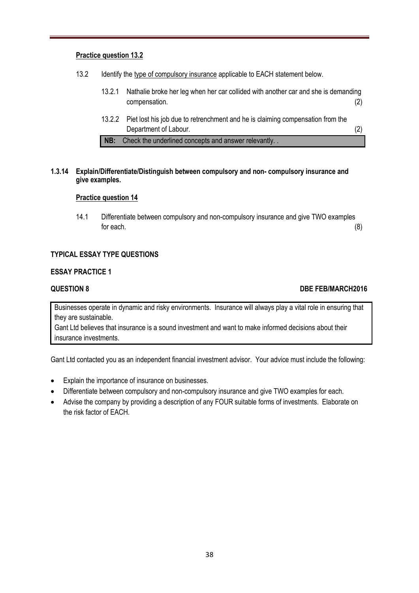#### **Practice question 13.2**

- 13.2 Identify the type of compulsory insurance applicable to EACH statement below.
	- 13.2.1 Nathalie broke her leg when her car collided with another car and she is demanding compensation. (2)
	- 13.2.2 Piet lost his job due to retrenchment and he is claiming compensation from the Department of Labour. (2)

**NB:** Check the underlined concepts and answer relevantly. .

#### **1.3.14 Explain/Differentiate/Distinguish between compulsory and non- compulsory insurance and give examples.**

#### **Practice question 14**

14.1 Differentiate between compulsory and non-compulsory insurance and give TWO examples for each.  $(8)$ 

#### **TYPICAL ESSAY TYPE QUESTIONS**

#### **ESSAY PRACTICE 1**

#### **QUESTION 8 DBE FEB/MARCH2016**

Businesses operate in dynamic and risky environments. Insurance will always play a vital role in ensuring that they are sustainable.

Gant Ltd believes that insurance is a sound investment and want to make informed decisions about their insurance investments.

Gant Ltd contacted you as an independent financial investment advisor. Your advice must include the following:

- Explain the importance of insurance on businesses.
- Differentiate between compulsory and non-compulsory insurance and give TWO examples for each.
- Advise the company by providing a description of any FOUR suitable forms of investments. Elaborate on the risk factor of EACH.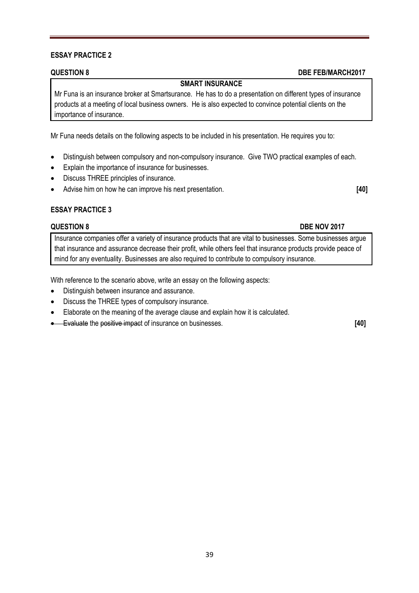#### **ESSAY PRACTICE 2**

#### **SMART INSURANCE**

Mr Funa is an insurance broker at Smartsurance. He has to do a presentation on different types of insurance products at a meeting of local business owners. He is also expected to convince potential clients on the importance of insurance.

Mr Funa needs details on the following aspects to be included in his presentation. He requires you to:

- Distinguish between compulsory and non-compulsory insurance. Give TWO practical examples of each.
- Explain the importance of insurance for businesses.
- Discuss THREE principles of insurance.
- Advise him on how he can improve his next presentation. **[40]**

#### **ESSAY PRACTICE 3**

#### **QUESTION 8** DBE NOV 2017

Insurance companies offer a variety of insurance products that are vital to businesses. Some businesses argue that insurance and assurance decrease their profit, while others feel that insurance products provide peace of mind for any eventuality. Businesses are also required to contribute to compulsory insurance.

With reference to the scenario above, write an essay on the following aspects:

- Distinguish between insurance and assurance.
- Discuss the THREE types of compulsory insurance.
- Elaborate on the meaning of the average clause and explain how it is calculated.
- Evaluate the positive impact of insurance on businesses. **[40]**

#### **QUESTION 8 DBE FEB/MARCH2017**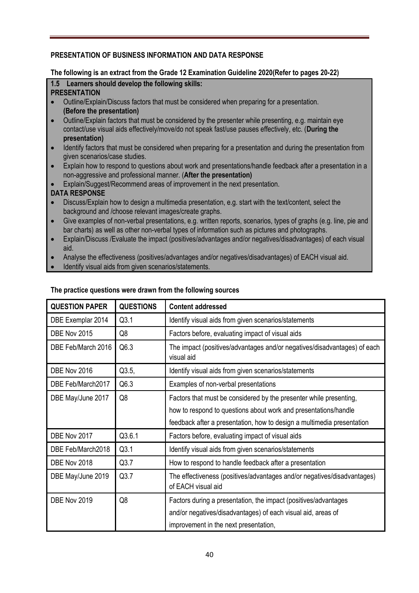#### **PRESENTATION OF BUSINESS INFORMATION AND DATA RESPONSE**

#### **The following is an extract from the Grade 12 Examination Guideline 2020(Refer to pages 20-22)**

#### **1.5 Learners should develop the following skills: PRESENTATION**

- Outline/Explain/Discuss factors that must be considered when preparing for a presentation. **(Before the presentation)**
- Outline/Explain factors that must be considered by the presenter while presenting, e.g. maintain eye contact/use visual aids effectively/move/do not speak fast/use pauses effectively, etc. (**During the presentation)**
- Identify factors that must be considered when preparing for a presentation and during the presentation from given scenarios/case studies.
- Explain how to respond to questions about work and presentations/handle feedback after a presentation in a non-aggressive and professional manner. (**After the presentation)**
- Explain/Suggest/Recommend areas of improvement in the next presentation.

#### **DATA RESPONSE**

- Discuss/Explain how to design a multimedia presentation, e.g. start with the text/content, select the background and /choose relevant images/create graphs.
- Give examples of non-verbal presentations, e.g. written reports, scenarios, types of graphs (e.g. line, pie and bar charts) as well as other non-verbal types of information such as pictures and photographs.
- Explain/Discuss /Evaluate the impact (positives/advantages and/or negatives/disadvantages) of each visual aid.
- Analyse the effectiveness (positives/advantages and/or negatives/disadvantages) of EACH visual aid.
- Identify visual aids from given scenarios/statements.

| <b>QUESTION PAPER</b> | <b>QUESTIONS</b> | <b>Content addressed</b>                                                                                                                                                 |  |  |
|-----------------------|------------------|--------------------------------------------------------------------------------------------------------------------------------------------------------------------------|--|--|
| DBE Exemplar 2014     | Q3.1             | Identify visual aids from given scenarios/statements                                                                                                                     |  |  |
| DBE Nov 2015          | Q8               | Factors before, evaluating impact of visual aids                                                                                                                         |  |  |
| DBE Feb/March 2016    | Q6.3             | The impact (positives/advantages and/or negatives/disadvantages) of each<br>visual aid                                                                                   |  |  |
| DBE Nov 2016          | Q3.5,            | Identify visual aids from given scenarios/statements                                                                                                                     |  |  |
| DBE Feb/March2017     | Q6.3             | Examples of non-verbal presentations                                                                                                                                     |  |  |
| DBE May/June 2017     | Q8               | Factors that must be considered by the presenter while presenting,                                                                                                       |  |  |
|                       |                  | how to respond to questions about work and presentations/handle                                                                                                          |  |  |
|                       |                  | feedback after a presentation, how to design a multimedia presentation                                                                                                   |  |  |
| DBE Nov 2017          | Q3.6.1           | Factors before, evaluating impact of visual aids                                                                                                                         |  |  |
| DBE Feb/March2018     | Q3.1             | Identify visual aids from given scenarios/statements                                                                                                                     |  |  |
| DBE Nov 2018          | Q3.7             | How to respond to handle feedback after a presentation                                                                                                                   |  |  |
| DBE May/June 2019     | Q3.7             | The effectiveness (positives/advantages and/or negatives/disadvantages)<br>of EACH visual aid                                                                            |  |  |
| DBE Nov 2019          | Q8               | Factors during a presentation, the impact (positives/advantages<br>and/or negatives/disadvantages) of each visual aid, areas of<br>improvement in the next presentation, |  |  |

#### **The practice questions were drawn from the following sources**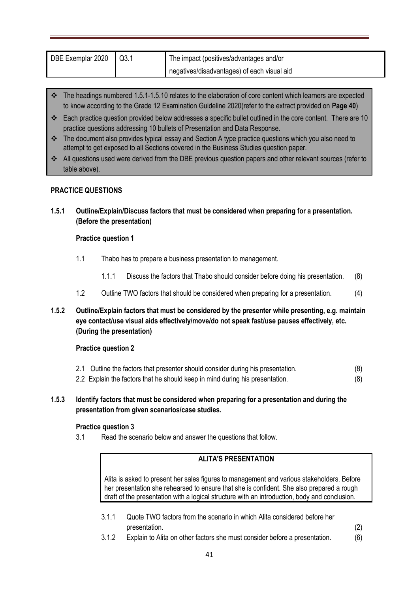| DBE Exemplar 2020 | Q3.1 | The impact (positives/advantages and/or     |  |
|-------------------|------|---------------------------------------------|--|
|                   |      | negatives/disadvantages) of each visual aid |  |

- $\cdot \cdot$  The headings numbered 1.5.1-1.5.10 relates to the elaboration of core content which learners are expected to know according to the Grade 12 Examination Guideline 2020(refer to the extract provided on **Page 40**)
- Each practice question provided below addresses a specific bullet outlined in the core content. There are 10 practice questions addressing 10 bullets of Presentation and Data Response.
- \* The document also provides typical essay and Section A type practice questions which you also need to attempt to get exposed to all Sections covered in the Business Studies question paper.
- All questions used were derived from the DBE previous question papers and other relevant sources (refer to table above).

#### **PRACTICE QUESTIONS**

**1.5.1 Outline/Explain/Discuss factors that must be considered when preparing for a presentation. (Before the presentation)**

#### **Practice question 1**

- 1.1 Thabo has to prepare a business presentation to management.
	- 1.1.1 Discuss the factors that Thabo should consider before doing his presentation. (8)
- 1.2 Outline TWO factors that should be considered when preparing for a presentation. (4)
- **1.5.2 Outline/Explain factors that must be considered by the presenter while presenting, e.g. maintain eye contact/use visual aids effectively/move/do not speak fast/use pauses effectively, etc. (During the presentation)**

#### **Practice question 2**

- 2.1 Outline the factors that presenter should consider during his presentation. (8) 2.2 Explain the factors that he should keep in mind during his presentation. (8)
- **1.5.3 Identify factors that must be considered when preparing for a presentation and during the presentation from given scenarios/case studies.**

#### **Practice question 3**

3.1 Read the scenario below and answer the questions that follow.

#### **ALITA'S PRESENTATION**

Alita is asked to present her sales figures to management and various stakeholders. Before her presentation she rehearsed to ensure that she is confident. She also prepared a rough draft of the presentation with a logical structure with an introduction, body and conclusion.

- 3.1.1 Quote TWO factors from the scenario in which Alita considered before her presentation. (2)
- 3.1.2 Explain to Alita on other factors she must consider before a presentation. (6)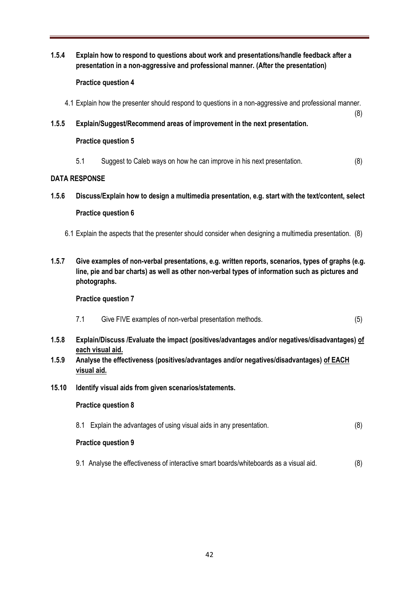**1.5.4 Explain how to respond to questions about work and presentations/handle feedback after a presentation in a non-aggressive and professional manner. (After the presentation)**

#### **Practice question 4**

- 4.1 Explain how the presenter should respond to questions in a non-aggressive and professional manner.
- **1.5.5 Explain/Suggest/Recommend areas of improvement in the next presentation.**

#### **Practice question 5**

5.1 Suggest to Caleb ways on how he can improve in his next presentation. (8)

(8)

#### **DATA RESPONSE**

**1.5.6 Discuss/Explain how to design a multimedia presentation, e.g. start with the text/content, select** 

#### **Practice question 6**

- 6.1 Explain the aspects that the presenter should consider when designing a multimedia presentation. (8)
- **1.5.7 Give examples of non-verbal presentations, e.g. written reports, scenarios, types of graphs (e.g. line, pie and bar charts) as well as other non-verbal types of information such as pictures and photographs.**

#### **Practice question 7**

- 7.1 Give FIVE examples of non-verbal presentation methods. (5)
- **1.5.8 Explain/Discuss /Evaluate the impact (positives/advantages and/or negatives/disadvantages) of each visual aid.**
- **1.5.9 Analyse the effectiveness (positives/advantages and/or negatives/disadvantages) of EACH visual aid.**
- **15.10 Identify visual aids from given scenarios/statements.**

#### **Practice question 8**

8.1 Explain the advantages of using visual aids in any presentation. (8)

#### **Practice question 9**

9.1 Analyse the effectiveness of interactive smart boards/whiteboards as a visual aid. (8)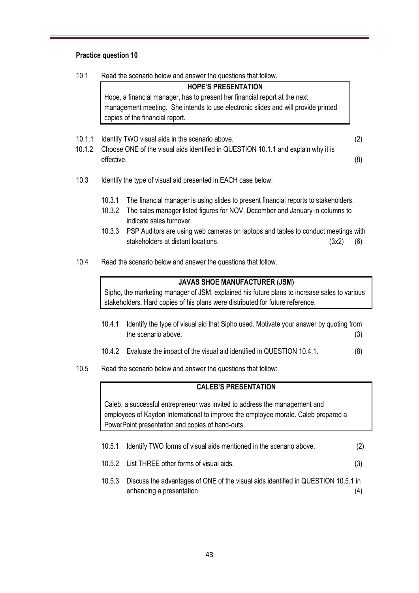#### **Practice question 10**

10.1 Read the scenario below and answer the questions that follow.

**HOPE'S PRESENTATION** Hope, a financial manager, has to present her financial report at the next management meeting. She intends to use electronic slides and will provide printed copies of the financial report.

- 10.1.1 Identify TWO visual aids in the scenario above. (2)
- 10.1.2 Choose ONE of the visual aids identified in QUESTION 10.1.1 and explain why it is effective. (8)
- 10.3 Identify the type of visual aid presented in EACH case below:
	- 10.3.1 The financial manager is using slides to present financial reports to stakeholders.
	- 10.3.2 The sales manager listed figures for NOV, December and January in columns to indicate sales turnover.
	- 10.3.3 PSP Auditors are using web cameras on laptops and tables to conduct meetings with stakeholders at distant locations. (3x2) (6)
- 10.4 Read the scenario below and answer the questions that follow.

#### **JAVAS SHOE MANUFACTURER (JSM)**

Sipho, the marketing manager of JSM, explained his future plans to increase sales to various stakeholders. Hard copies of his plans were distributed for future reference.

- 10.4.1 Identify the type of visual aid that Sipho used. Motivate your answer by quoting from the scenario above. (3)
- 10.4.2 Evaluate the impact of the visual aid identified in QUESTION 10.4.1. (8)
- 10.5 Read the scenario below and answer the questions that follow:

#### **CALEB'S PRESENTATION**

Caleb, a successful entrepreneur was invited to address the management and employees of Kaydon International to improve the employee morale. Caleb prepared a PowerPoint presentation and copies of hand-outs.

- 10.5.1 Identify TWO forms of visual aids mentioned in the scenario above. (2)
- 10.5.2 List THREE other forms of visual aids. (3)
- 10.5.3 Discuss the advantages of ONE of the visual aids identified in QUESTION 10.5.1 in enhancing a presentation. (4)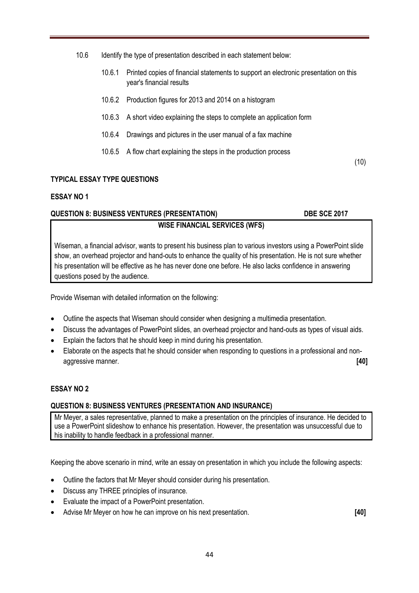- 10.6 Identify the type of presentation described in each statement below:
	- 10.6.1 Printed copies of financial statements to support an electronic presentation on this year's financial results
	- 10.6.2 Production figures for 2013 and 2014 on a histogram
	- 10.6.3 A short video explaining the steps to complete an application form
	- 10.6.4 Drawings and pictures in the user manual of a fax machine
	- 10.6.5 A flow chart explaining the steps in the production process

(10)

#### **TYPICAL ESSAY TYPE QUESTIONS**

#### **ESSAY NO 1**

### **QUESTION 8: BUSINESS VENTURES (PRESENTATION) DBE SCE 2017 WISE FINANCIAL SERVICES (WFS)**

Wiseman, a financial advisor, wants to present his business plan to various investors using a PowerPoint slide show, an overhead projector and hand-outs to enhance the quality of his presentation. He is not sure whether his presentation will be effective as he has never done one before. He also lacks confidence in answering questions posed by the audience.

Provide Wiseman with detailed information on the following:

- Outline the aspects that Wiseman should consider when designing a multimedia presentation.
- Discuss the advantages of PowerPoint slides, an overhead projector and hand-outs as types of visual aids.
- Explain the factors that he should keep in mind during his presentation.
- Elaborate on the aspects that he should consider when responding to questions in a professional and nonaggressive manner. **[40]**

#### **ESSAY NO 2**

#### **QUESTION 8: BUSINESS VENTURES (PRESENTATION AND INSURANCE)**

Mr Meyer, a sales representative, planned to make a presentation on the principles of insurance. He decided to use a PowerPoint slideshow to enhance his presentation. However, the presentation was unsuccessful due to his inability to handle feedback in a professional manner.

Keeping the above scenario in mind, write an essay on presentation in which you include the following aspects:

- Outline the factors that Mr Meyer should consider during his presentation.
- Discuss any THREE principles of insurance.
- Evaluate the impact of a PowerPoint presentation.
- Advise Mr Meyer on how he can improve on his next presentation. **[40]**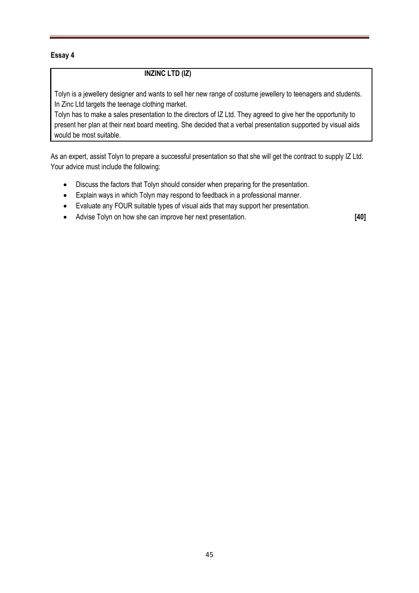#### **Essay 4**

#### **INZINC LTD (IZ)**

Tolyn is a jewellery designer and wants to sell her new range of costume jewellery to teenagers and students. In Zinc Ltd targets the teenage clothing market.

Tolyn has to make a sales presentation to the directors of IZ Ltd. They agreed to give her the opportunity to present her plan at their next board meeting. She decided that a verbal presentation supported by visual aids would be most suitable.

As an expert, assist Tolyn to prepare a successful presentation so that she will get the contract to supply IZ Ltd. Your advice must include the following:

- Discuss the factors that Tolyn should consider when preparing for the presentation.
- Explain ways in which Tolyn may respond to feedback in a professional manner.
- Evaluate any FOUR suitable types of visual aids that may support her presentation.
- Advise Tolyn on how she can improve her next presentation. **[40]**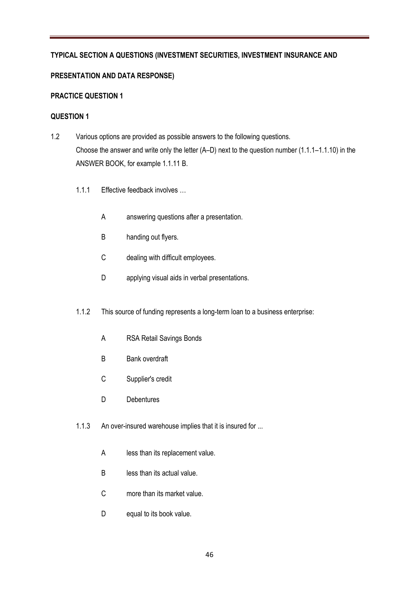#### **TYPICAL SECTION A QUESTIONS (INVESTMENT SECURITIES, INVESTMENT INSURANCE AND**

#### **PRESENTATION AND DATA RESPONSE)**

#### **PRACTICE QUESTION 1**

#### **QUESTION 1**

- 1.2 Various options are provided as possible answers to the following questions. Choose the answer and write only the letter (A–D) next to the question number (1.1.1–1.1.10) in the ANSWER BOOK, for example 1.1.11 B.
	- 1.1.1. Effective feedback involves
		- A answering questions after a presentation.
		- B handing out flyers.
		- C dealing with difficult employees.
		- D applying visual aids in verbal presentations.
	- 1.1.2 This source of funding represents a long-term loan to a business enterprise:
		- A RSA Retail Savings Bonds
		- B Bank overdraft
		- C Supplier's credit
		- D Debentures
	- 1.1.3 An over-insured warehouse implies that it is insured for ...
		- A less than its replacement value.
		- B less than its actual value.
		- C more than its market value.
		- D equal to its book value.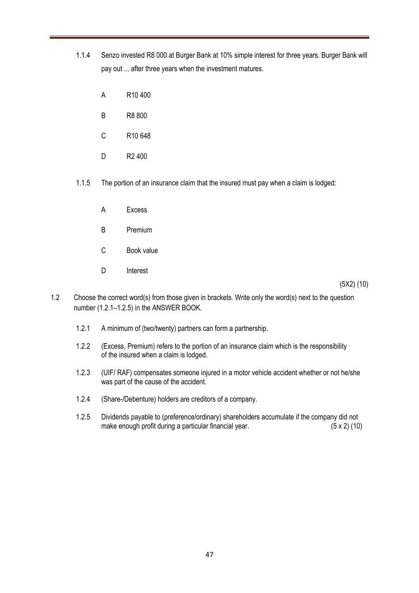- 1.1.4 Senzo invested R8 000 at Burger Bank at 10% simple interest for three years. Burger Bank will pay out ... after three years when the investment matures.
	- A R10 400
	- B R8 800
	- C R10 648
	- D R2 400
- 1.1.5 The portion of an insurance claim that the insured must pay when a claim is lodged:
	- A Excess
	- B Premium
	- C Book value
	- D Interest

(5X2) (10)

- 1.2 Choose the correct word(s) from those given in brackets. Write only the word(s) next to the question number (1.2.1–1.2.5) in the ANSWER BOOK.
	- 1.2.1 A minimum of (two/twenty) partners can form a partnership.
	- 1.2.2 (Excess, Premium) refers to the portion of an insurance claim which is the responsibility of the insured when a claim is lodged.
	- 1.2.3 (UIF/ RAF) compensates someone injured in a motor vehicle accident whether or not he/she was part of the cause of the accident.
	- 1.2.4 (Share-/Debenture) holders are creditors of a company.
	- 1.2.5 Dividends payable to (preference/ordinary) shareholders accumulate if the company did not make enough profit during a particular financial year. (5 x 2) (10)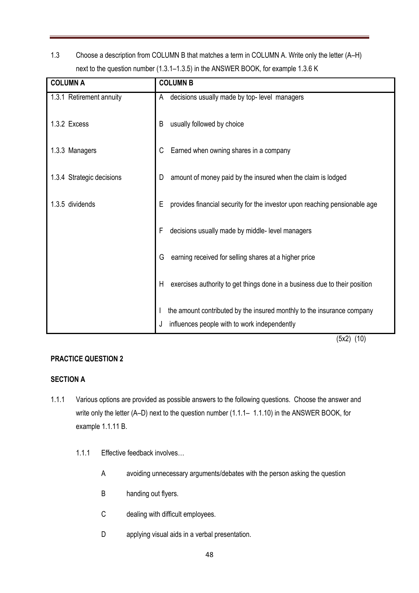1.3 Choose a description from COLUMN B that matches a term in COLUMN A. Write only the letter (A–H) next to the question number (1.3.1–1.3.5) in the ANSWER BOOK, for example 1.3.6 K

| <b>COLUMN A</b>           | <b>COLUMN B</b>                                                                 |  |  |
|---------------------------|---------------------------------------------------------------------------------|--|--|
| 1.3.1 Retirement annuity  | decisions usually made by top- level managers<br>A                              |  |  |
| 1.3.2 Excess              | usually followed by choice<br>B                                                 |  |  |
| 1.3.3 Managers            | Earned when owning shares in a company<br>C                                     |  |  |
| 1.3.4 Strategic decisions | amount of money paid by the insured when the claim is lodged<br>D               |  |  |
| 1.3.5 dividends           | provides financial security for the investor upon reaching pensionable age<br>Е |  |  |
|                           | decisions usually made by middle- level managers<br>F                           |  |  |
|                           | earning received for selling shares at a higher price<br>G                      |  |  |
|                           | exercises authority to get things done in a business due to their position<br>H |  |  |
|                           | the amount contributed by the insured monthly to the insurance company          |  |  |
|                           | influences people with to work independently                                    |  |  |

(5x2) (10)

#### **PRACTICE QUESTION 2**

#### **SECTION A**

- 1.1.1 Various options are provided as possible answers to the following questions. Choose the answer and write only the letter (A–D) next to the question number (1.1.1– 1.1.10) in the ANSWER BOOK, for example 1.1.11 B.
	- 1.1.1 Effective feedback involves…
		- A avoiding unnecessary arguments/debates with the person asking the question
		- B handing out flyers.
		- C dealing with difficult employees.
		- D applying visual aids in a verbal presentation.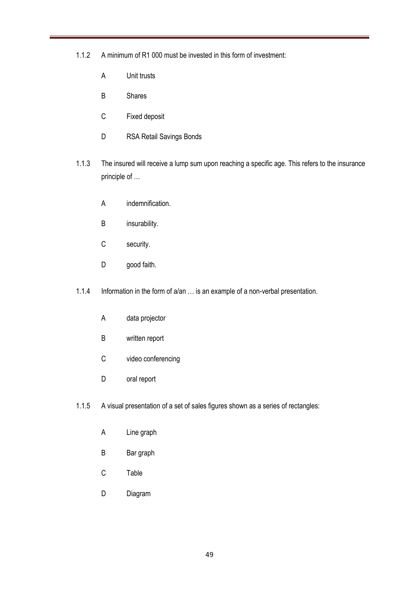- 1.1.2 A minimum of R1 000 must be invested in this form of investment:
	- A Unit trusts
	- B Shares
	- C Fixed deposit
	- D RSA Retail Savings Bonds
- 1.1.3 The insured will receive a lump sum upon reaching a specific age. This refers to the insurance principle of …
	- A indemnification.
	- B insurability.
	- C security.
	- D good faith.
- 1.1.4 Information in the form of a/an … is an example of a non-verbal presentation.
	- A data projector
	- B written report
	- C video conferencing
	- D oral report
- 1.1.5 A visual presentation of a set of sales figures shown as a series of rectangles:
	- A Line graph
	- B Bar graph
	- C Table
	- D Diagram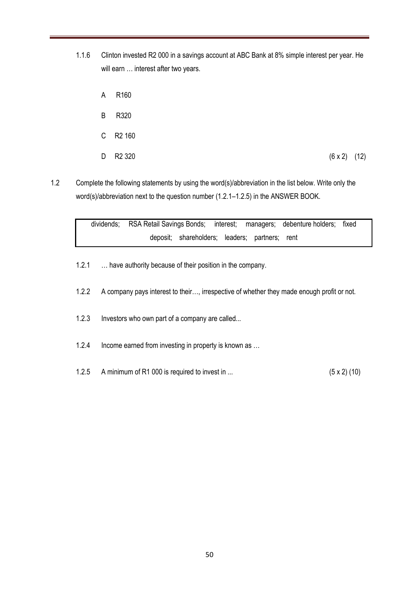- 1.1.6 Clinton invested R2 000 in a savings account at ABC Bank at 8% simple interest per year. He will earn ... interest after two years.
	- A R160
	- B R320
	- C R2 160
	- D R2 320 (6 x 2) (12)
- 1.2 Complete the following statements by using the word(s)/abbreviation in the list below. Write only the word(s)/abbreviation next to the question number (1.2.1–1.2.5) in the ANSWER BOOK.

dividends; RSA Retail Savings Bonds; interest; managers; debenture holders; fixed deposit; shareholders; leaders; partners; rent

- 1.2.1 … have authority because of their position in the company.
- 1.2.2 A company pays interest to their…, irrespective of whether they made enough profit or not.
- 1.2.3 Investors who own part of a company are called...
- 1.2.4 Income earned from investing in property is known as …
- 1.2.5 A minimum of R1 000 is required to invest in ... (5 x 2) (10)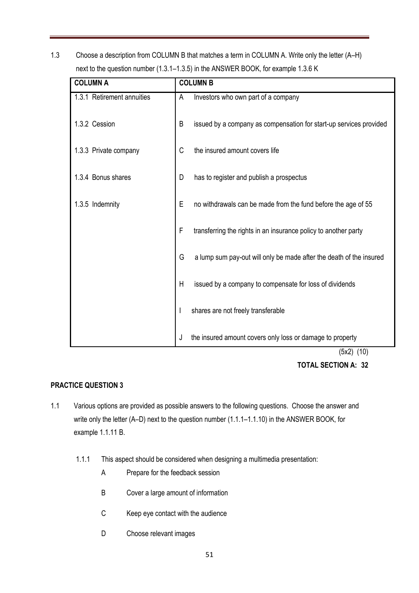1.3 Choose a description from COLUMN B that matches a term in COLUMN A. Write only the letter (A–H) next to the question number (1.3.1–1.3.5) in the ANSWER BOOK, for example 1.3.6 K

| <b>COLUMN A</b>            |   | <b>COLUMN B</b>                                                              |  |  |
|----------------------------|---|------------------------------------------------------------------------------|--|--|
| 1.3.1 Retirement annuities | A | Investors who own part of a company                                          |  |  |
| 1.3.2 Cession              | B | issued by a company as compensation for start-up services provided           |  |  |
| 1.3.3 Private company      | C | the insured amount covers life                                               |  |  |
| 1.3.4 Bonus shares         | D | has to register and publish a prospectus                                     |  |  |
| 1.3.5 Indemnity            | E | no withdrawals can be made from the fund before the age of 55                |  |  |
|                            | F | transferring the rights in an insurance policy to another party              |  |  |
|                            | G | a lump sum pay-out will only be made after the death of the insured          |  |  |
|                            | Η | issued by a company to compensate for loss of dividends                      |  |  |
|                            |   | shares are not freely transferable                                           |  |  |
|                            | J | the insured amount covers only loss or damage to property<br>$(E, 0)$ $(40)$ |  |  |

(5x2) (10)

#### **TOTAL SECTION A: 32**

#### **PRACTICE QUESTION 3**

- 1.1 Various options are provided as possible answers to the following questions. Choose the answer and write only the letter (A–D) next to the question number (1.1.1–1.1.10) in the ANSWER BOOK, for example 1.1.11 B.
	- 1.1.1 This aspect should be considered when designing a multimedia presentation:
		- A Prepare for the feedback session
		- B Cover a large amount of information
		- C Keep eye contact with the audience
		- D Choose relevant images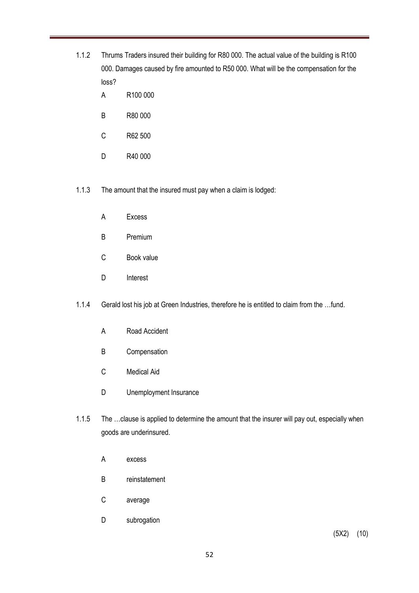- 1.1.2 Thrums Traders insured their building for R80 000. The actual value of the building is R100 000. Damages caused by fire amounted to R50 000. What will be the compensation for the loss?
	- A R100 000
	- B R80 000
	- C R62 500
	- D R40 000
- 1.1.3 The amount that the insured must pay when a claim is lodged:
	- A Excess
	- B Premium
	- C Book value
	- D Interest
- 1.1.4 Gerald lost his job at Green Industries, therefore he is entitled to claim from the …fund.
	- A Road Accident
	- B Compensation
	- C Medical Aid
	- D Unemployment Insurance
- 1.1.5 The …clause is applied to determine the amount that the insurer will pay out, especially when goods are underinsured.
	- A excess
	- B reinstatement
	- C average
	- D subrogation

(5X2) (10)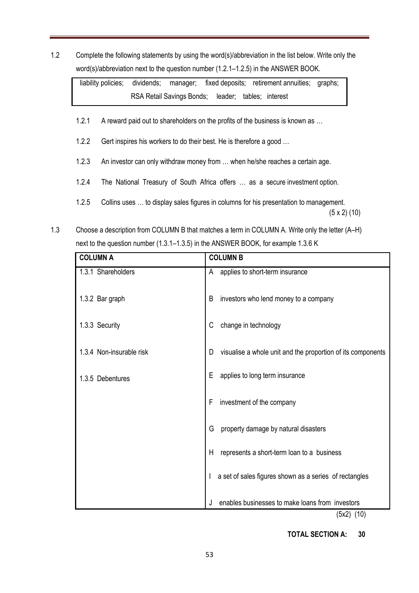1.2 Complete the following statements by using the word(s)/abbreviation in the list below. Write only the word(s)/abbreviation next to the question number (1.2.1–1.2.5) in the ANSWER BOOK.

liability policies; dividends; manager; fixed deposits; retirement annuities; graphs; RSA Retail Savings Bonds; leader; tables; interest

- 1.2.1 A reward paid out to shareholders on the profits of the business is known as ...
- 1.2.2 Gert inspires his workers to do their best. He is therefore a good ...
- 1.2.3 An investor can only withdraw money from … when he/she reaches a certain age.
- 1.2.4 The National Treasury of South Africa offers … as a secure investment option.
- 1.2.5 Collins uses … to display sales figures in columns for his presentation to management.  $(5 \times 2)$  (10)
- 1.3 Choose a description from COLUMN B that matches a term in COLUMN A. Write only the letter (A–H) next to the question number (1.3.1–1.3.5) in the ANSWER BOOK, for example 1.3.6 K

| <b>COLUMN A</b>          | <b>COLUMN B</b>                                                         |
|--------------------------|-------------------------------------------------------------------------|
| 1.3.1 Shareholders       | applies to short-term insurance<br>A                                    |
| 1.3.2 Bar graph          | B<br>investors who lend money to a company                              |
| 1.3.3 Security           | change in technology<br>C                                               |
| 1.3.4 Non-insurable risk | visualise a whole unit and the proportion of its components<br>D        |
| 1.3.5 Debentures         | Ε<br>applies to long term insurance                                     |
|                          | investment of the company<br>F                                          |
|                          | G<br>property damage by natural disasters                               |
|                          | H<br>represents a short-term loan to a business                         |
|                          | a set of sales figures shown as a series of rectangles                  |
|                          | enables businesses to make loans from investors<br>J<br>$(2.0)$ $(4.0)$ |

(5x2) (10)

 **TOTAL SECTION A: 30**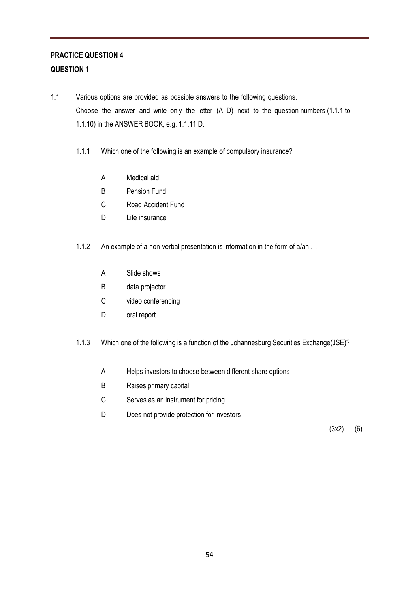## **PRACTICE QUESTION 4 QUESTION 1**

- 1.1 Various options are provided as possible answers to the following questions. Choose the answer and write only the letter (A–D) next to the question numbers (1.1.1 to 1.1.10) in the ANSWER BOOK, e.g. 1.1.11 D.
	- 1.1.1 Which one of the following is an example of compulsory insurance?
		- A Medical aid
		- B Pension Fund
		- C Road Accident Fund
		- D Life insurance
	- 1.1.2 An example of a non-verbal presentation is information in the form of a/an ...
		- A Slide shows
		- B data projector
		- C video conferencing
		- D oral report.
	- 1.1.3 Which one of the following is a function of the Johannesburg Securities Exchange(JSE)?
		- A Helps investors to choose between different share options
		- B Raises primary capital
		- C Serves as an instrument for pricing
		- D Does not provide protection for investors

(3x2) (6)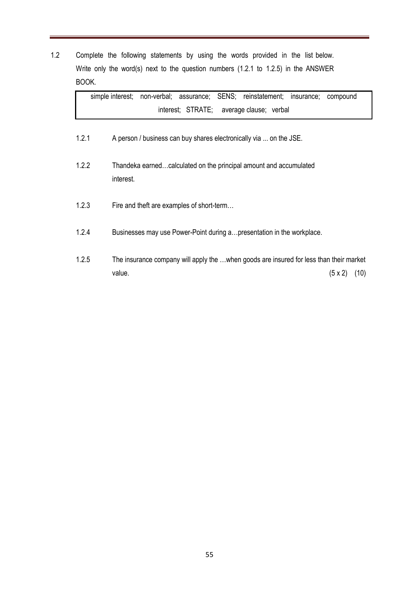1.2 Complete the following statements by using the words provided in the list below. Write only the word(s) next to the question numbers (1.2.1 to 1.2.5) in the ANSWER BOOK.

|       | interest; STRATE; average clause; verbal                                                                             |
|-------|----------------------------------------------------------------------------------------------------------------------|
| 1.2.1 | A person / business can buy shares electronically via  on the JSE.                                                   |
| 1.2.2 | Thandeka earnedcalculated on the principal amount and accumulated<br>interest.                                       |
| 1.2.3 | Fire and theft are examples of short-term                                                                            |
| 1.2.4 | Businesses may use Power-Point during a presentation in the workplace.                                               |
| 1.2.5 | The insurance company will apply the  when goods are insured for less than their market<br>value.<br>(10)<br>(5 x 2) |

simple interest; non-verbal; assurance; SENS; reinstatement; insurance; compound